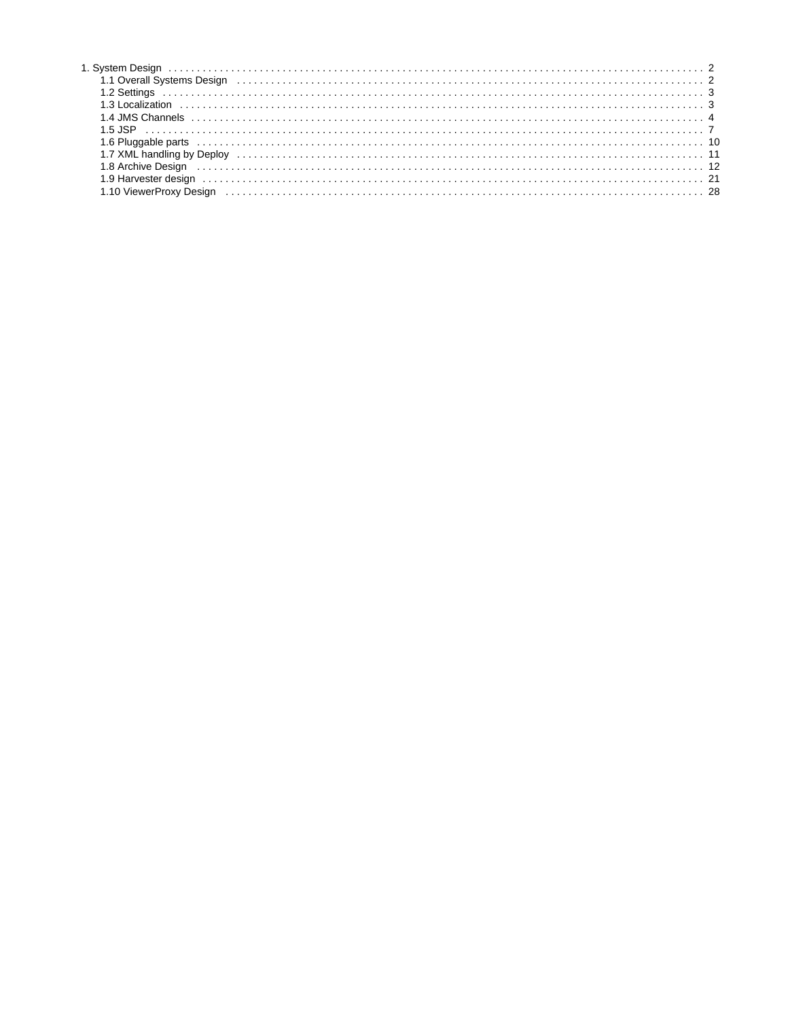| 1.1 Overall Systems Design (all contained all contained and contained all contained and contained all contained a                                                                                                              |
|--------------------------------------------------------------------------------------------------------------------------------------------------------------------------------------------------------------------------------|
|                                                                                                                                                                                                                                |
|                                                                                                                                                                                                                                |
|                                                                                                                                                                                                                                |
|                                                                                                                                                                                                                                |
|                                                                                                                                                                                                                                |
|                                                                                                                                                                                                                                |
| 8 Archive Design experience and contact the contract of the contract of the contract of the contract of the contract of the contract of the contract of the contract of the contract of the contract of the contract of the co |
|                                                                                                                                                                                                                                |
|                                                                                                                                                                                                                                |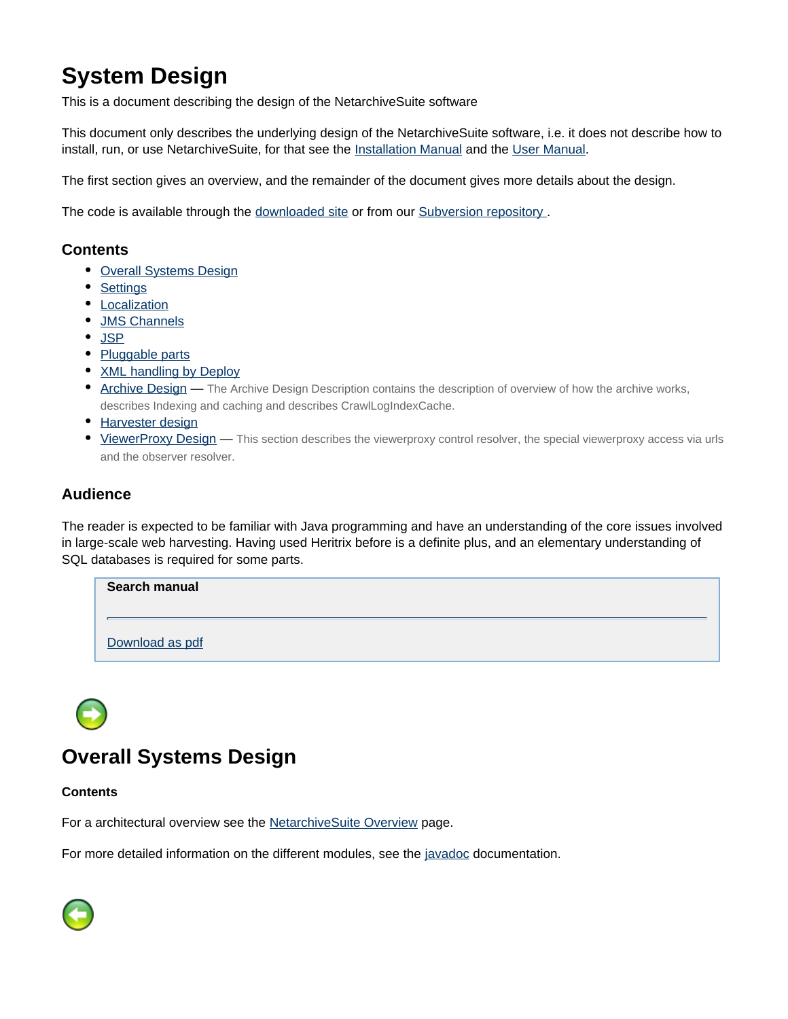# <span id="page-1-0"></span>**System Design**

This is a document describing the design of the NetarchiveSuite software

This document only describes the underlying design of the NetarchiveSuite software, i.e. it does not describe how to install, run, or use NetarchiveSuite, for that see the **Installation Manual** and the User Manual.

The first section gives an overview, and the remainder of the document gives more details about the design.

The code is available through the [downloaded site](https://sbforge.org/downloads/netarchivesuite/releases/) or from our Subversion repository.

# **Contents**

- [Overall Systems Design](#page-1-1)
- [Settings](#page-2-0)
- [Localization](#page-2-1)
- **[JMS Channels](#page-3-0)**
- [JSP](#page-6-0)
- [Pluggable parts](#page-9-0)
- [XML handling by Deploy](#page-10-0)
- [Archive Design](#page-11-0) The Archive Design Description contains the description of overview of how the archive works, describes Indexing and caching and describes CrawlLogIndexCache.
- [Harvester design](#page-20-0)
- [ViewerProxy Design](#page-27-0) This section describes the viewerproxy control resolver, the special viewerproxy access via urls and the observer resolver.

# **Audience**

The reader is expected to be familiar with Java programming and have an understanding of the core issues involved in large-scale web harvesting. Having used Heritrix before is a definite plus, and an elementary understanding of SQL databases is required for some parts.

| Search manual   |  |
|-----------------|--|
| Download as pdf |  |

# <span id="page-1-1"></span>**Overall Systems Design**

#### **Contents**

For a architectural overview see the NetarchiveSuite Overview page.

For more detailed information on the different modules, see the [javadoc](https://sbforge.org/maven/netarchivesuite/apidocs) documentation.

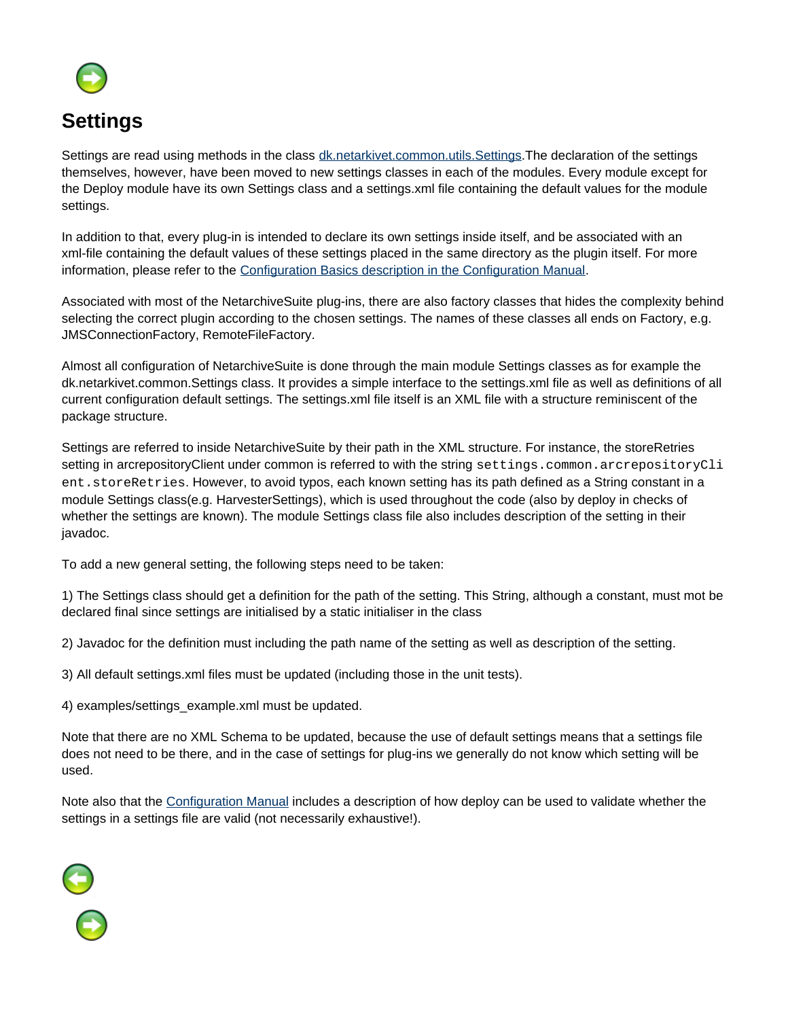

<span id="page-2-0"></span>Settings are read using methods in the class **[dk.netarkivet.common.utils.Settings](https://sbforge.org/maven/netarchivesuite/apidocs/release/dk/netarkivet/common/utils/Settings.html)**. The declaration of the settings themselves, however, have been moved to new settings classes in each of the modules. Every module except for the Deploy module have its own Settings class and a settings.xml file containing the default values for the module settings.

In addition to that, every plug-in is intended to declare its own settings inside itself, and be associated with an xml-file containing the default values of these settings placed in the same directory as the plugin itself. For more information, please refer to the Configuration Basics description in the Configuration Manual.

Associated with most of the NetarchiveSuite plug-ins, there are also factory classes that hides the complexity behind selecting the correct plugin according to the chosen settings. The names of these classes all ends on Factory, e.g. JMSConnectionFactory, RemoteFileFactory.

Almost all configuration of NetarchiveSuite is done through the main module Settings classes as for example the dk.netarkivet.common.Settings class. It provides a simple interface to the settings.xml file as well as definitions of all current configuration default settings. The settings.xml file itself is an XML file with a structure reminiscent of the package structure.

Settings are referred to inside NetarchiveSuite by their path in the XML structure. For instance, the storeRetries setting in arcrepositoryClient under common is referred to with the string settings.common.arcrepositoryCli ent.storeRetries. However, to avoid typos, each known setting has its path defined as a String constant in a module Settings class(e.g. HarvesterSettings), which is used throughout the code (also by deploy in checks of whether the settings are known). The module Settings class file also includes description of the setting in their javadoc.

To add a new general setting, the following steps need to be taken:

1) The Settings class should get a definition for the path of the setting. This String, although a constant, must mot be declared final since settings are initialised by a static initialiser in the class

2) Javadoc for the definition must including the path name of the setting as well as description of the setting.

3) All default settings.xml files must be updated (including those in the unit tests).

4) examples/settings\_example.xml must be updated.

Note that there are no XML Schema to be updated, because the use of default settings means that a settings file does not need to be there, and in the case of settings for plug-ins we generally do not know which setting will be used.

Note also that the Configuration Manual includes a description of how deploy can be used to validate whether the settings in a settings file are valid (not necessarily exhaustive!).

<span id="page-2-1"></span>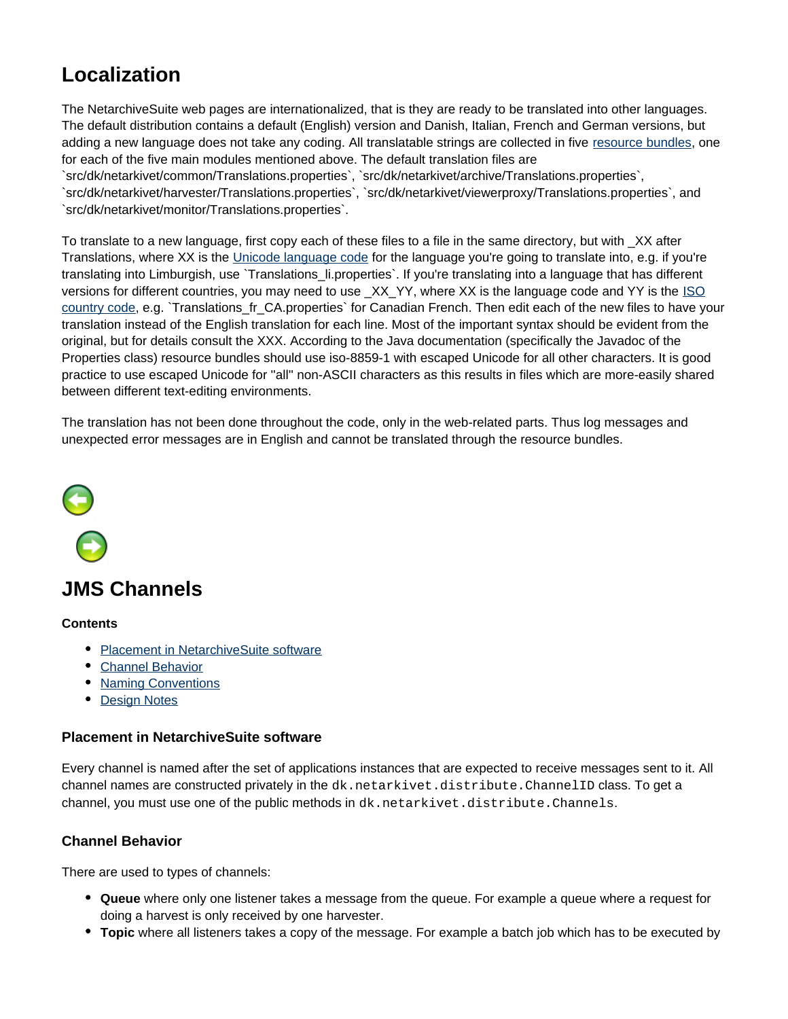# **Localization**

The NetarchiveSuite web pages are internationalized, that is they are ready to be translated into other languages. The default distribution contains a default (English) version and Danish, Italian, French and German versions, but adding a new language does not take any coding. All translatable strings are collected in five [resource bundles,](http://java.sun.com/developer/technicalArticles/Intl/ResourceBundles/) one for each of the five main modules mentioned above. The default translation files are `src/dk/netarkivet/common/Translations.properties`, `src/dk/netarkivet/archive/Translations.properties`,

`src/dk/netarkivet/harvester/Translations.properties`, `src/dk/netarkivet/viewerproxy/Translations.properties`, and `src/dk/netarkivet/monitor/Translations.properties`.

To translate to a new language, first copy each of these files to a file in the same directory, but with \_XX after Translations, where XX is the [Unicode language code](http://www.i18nguy.com/unicode/language-identifiers.html) for the language you're going to translate into, e.g. if you're translating into Limburgish, use `Translations li.properties`. If you're translating into a language that has different versions for different countries, you may need to use \_XX\_YY, where XX is the language code and YY is the [ISO](http://www.iso.org/iso/country_codes/iso_3166_code_lists/country_names_and_code_elements.htm) [country code](http://www.iso.org/iso/country_codes/iso_3166_code_lists/country_names_and_code_elements.htm), e.g. `Translations\_fr\_CA.properties` for Canadian French. Then edit each of the new files to have your translation instead of the English translation for each line. Most of the important syntax should be evident from the original, but for details consult the XXX. According to the Java documentation (specifically the Javadoc of the Properties class) resource bundles should use iso-8859-1 with escaped Unicode for all other characters. It is good practice to use escaped Unicode for ''all'' non-ASCII characters as this results in files which are more-easily shared between different text-editing environments.

The translation has not been done throughout the code, only in the web-related parts. Thus log messages and unexpected error messages are in English and cannot be translated through the resource bundles.



# <span id="page-3-0"></span>**JMS Channels**

#### **Contents**

- [Placement in NetarchiveSuite software](#page-3-1)
- [Channel Behavior](#page-3-2)
- [Naming Conventions](#page-4-0)
- [Design Notes](#page-6-1)

## <span id="page-3-1"></span>**Placement in NetarchiveSuite software**

Every channel is named after the set of applications instances that are expected to receive messages sent to it. All channel names are constructed privately in the dk.netarkivet.distribute.ChannelID class. To get a channel, you must use one of the public methods in dk.netarkivet.distribute.Channels.

# <span id="page-3-2"></span>**Channel Behavior**

There are used to types of channels:

- **Queue** where only one listener takes a message from the queue. For example a queue where a request for doing a harvest is only received by one harvester.
- **Topic** where all listeners takes a copy of the message. For example a batch job which has to be executed by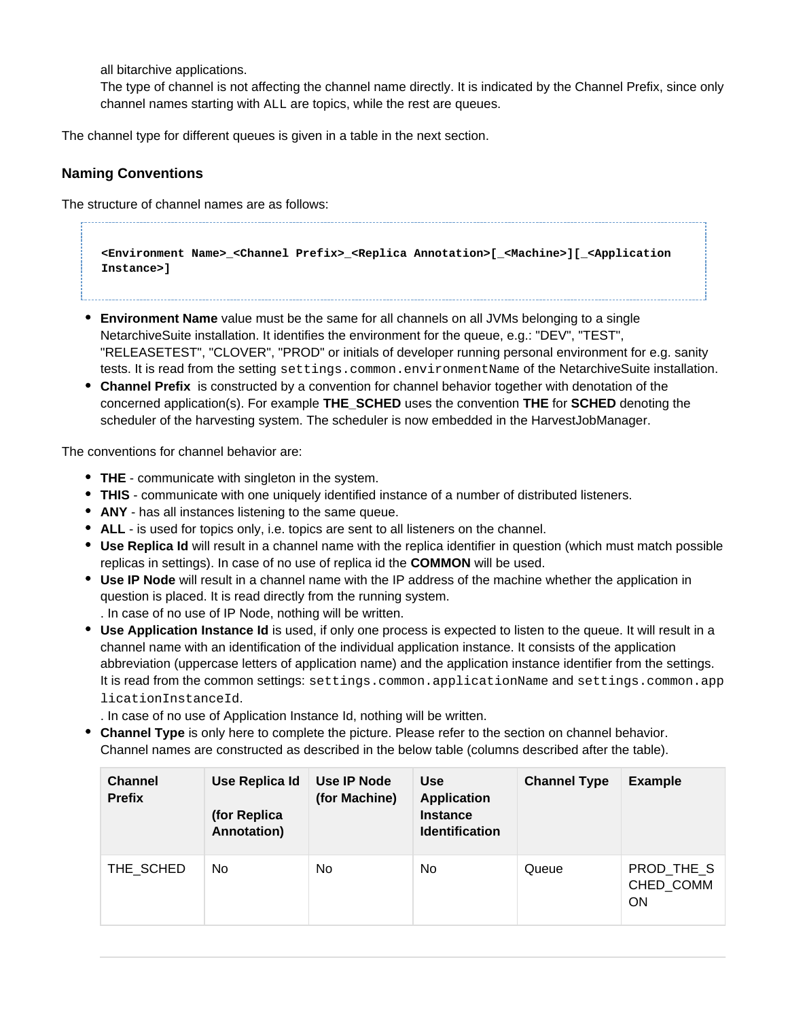all bitarchive applications.

The type of channel is not affecting the channel name directly. It is indicated by the Channel Prefix, since only channel names starting with ALL are topics, while the rest are queues.

The channel type for different queues is given in a table in the next section.

# <span id="page-4-0"></span>**Naming Conventions**

The structure of channel names are as follows:

**<Environment Name>\_<Channel Prefix>\_<Replica Annotation>[\_<Machine>][\_<Application Instance>]**

- **Environment Name** value must be the same for all channels on all JVMs belonging to a single NetarchiveSuite installation. It identifies the environment for the queue, e.g.: "DEV", "TEST", "RELEASETEST", "CLOVER", "PROD" or initials of developer running personal environment for e.g. sanity tests. It is read from the setting settings.common.environmentName of the NetarchiveSuite installation.
- **Channel Prefix** is constructed by a convention for channel behavior together with denotation of the concerned application(s). For example **THE\_SCHED** uses the convention **THE** for **SCHED** denoting the scheduler of the harvesting system. The scheduler is now embedded in the HarvestJobManager.

The conventions for channel behavior are:

- **THE** communicate with singleton in the system.
- **THIS** communicate with one uniquely identified instance of a number of distributed listeners.
- **ANY** has all instances listening to the same queue.
- **ALL** is used for topics only, i.e. topics are sent to all listeners on the channel.
- **Use Replica Id** will result in a channel name with the replica identifier in question (which must match possible replicas in settings). In case of no use of replica id the **COMMON** will be used.
- **Use IP Node** will result in a channel name with the IP address of the machine whether the application in question is placed. It is read directly from the running system. . In case of no use of IP Node, nothing will be written.
- **Use Application Instance Id** is used, if only one process is expected to listen to the queue. It will result in a channel name with an identification of the individual application instance. It consists of the application abbreviation (uppercase letters of application name) and the application instance identifier from the settings. It is read from the common settings: settings.common.applicationName and settings.common.app licationInstanceId.

. In case of no use of Application Instance Id, nothing will be written.

**Channel Type** is only here to complete the picture. Please refer to the section on channel behavior. Channel names are constructed as described in the below table (columns described after the table).

| <b>Channel</b><br><b>Prefix</b> | Use Replica Id<br>(for Replica<br>Annotation) | Use IP Node<br>(for Machine) | <b>Use</b><br><b>Application</b><br><b>Instance</b><br><b>Identification</b> | <b>Channel Type</b> | <b>Example</b>                |
|---------------------------------|-----------------------------------------------|------------------------------|------------------------------------------------------------------------------|---------------------|-------------------------------|
| THE SCHED                       | No.                                           | No.                          | No                                                                           | Queue               | PROD THE S<br>CHED_COMM<br>ON |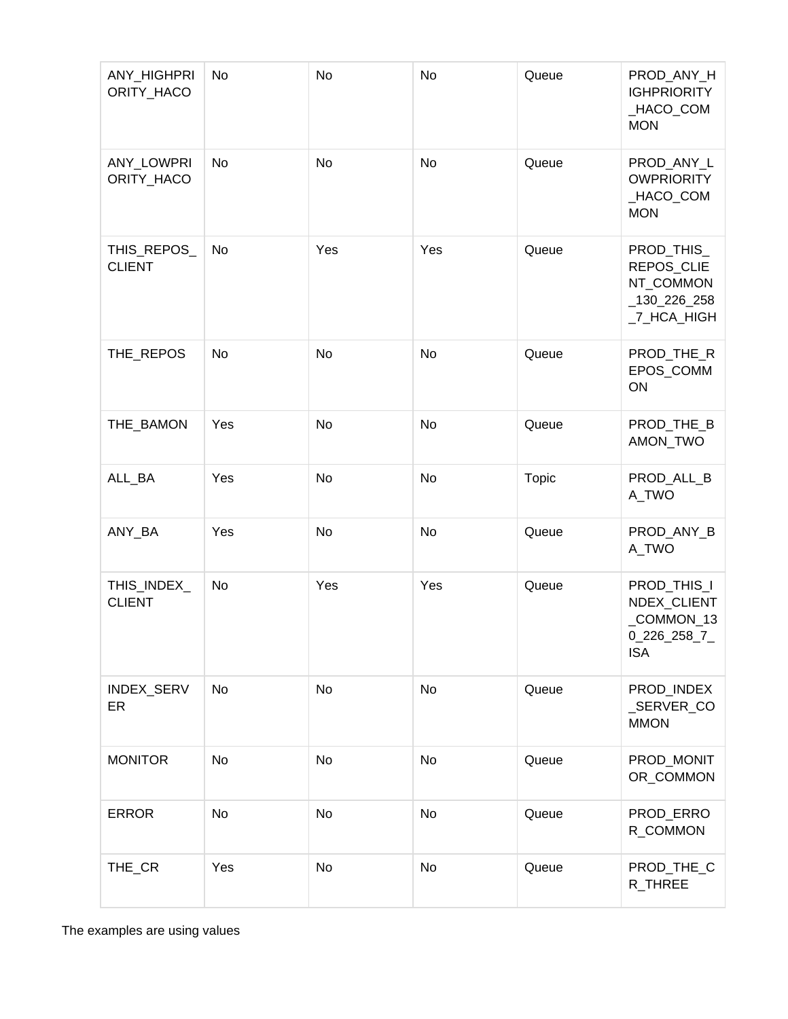| ANY_HIGHPRI<br>ORITY_HACO    | No        | No        | No        | Queue        | PROD_ANY_H<br><b>IGHPRIORITY</b><br>_HACO_COM<br><b>MON</b>               |
|------------------------------|-----------|-----------|-----------|--------------|---------------------------------------------------------------------------|
| ANY_LOWPRI<br>ORITY_HACO     | <b>No</b> | <b>No</b> | <b>No</b> | Queue        | PROD_ANY_L<br><b>OWPRIORITY</b><br>_HACO_COM<br><b>MON</b>                |
| THIS_REPOS_<br><b>CLIENT</b> | No        | Yes       | Yes       | Queue        | PROD_THIS_<br>REPOS_CLIE<br>NT_COMMON<br>$\_130\_226\_258$<br>_7_HCA_HIGH |
| THE_REPOS                    | No        | No        | No        | Queue        | PROD_THE_R<br>EPOS_COMM<br>ON                                             |
| THE_BAMON                    | Yes       | No        | No        | Queue        | PROD_THE_B<br>AMON_TWO                                                    |
| ALL_BA                       | Yes       | <b>No</b> | No        | <b>Topic</b> | PROD_ALL_B<br>A_TWO                                                       |
| ANY_BA                       | Yes       | <b>No</b> | No        | Queue        | PROD_ANY_B<br>A_TWO                                                       |
| THIS_INDEX_<br><b>CLIENT</b> | No        | Yes       | Yes       | Queue        | PROD_THIS_I<br>NDEX_CLIENT<br>_COMMON_13<br>0_226_258_7<br><b>ISA</b>     |
| INDEX_SERV<br>ER             | No        | <b>No</b> | <b>No</b> | Queue        | PROD_INDEX<br>_SERVER_CO<br><b>MMON</b>                                   |
| <b>MONITOR</b>               | No        | No        | <b>No</b> | Queue        | PROD_MONIT<br>OR_COMMON                                                   |
| <b>ERROR</b>                 | No        | <b>No</b> | <b>No</b> | Queue        | PROD_ERRO<br>R_COMMON                                                     |
| THE_CR                       | Yes       | No        | <b>No</b> | Queue        | PROD_THE_C<br>R_THREE                                                     |

The examples are using values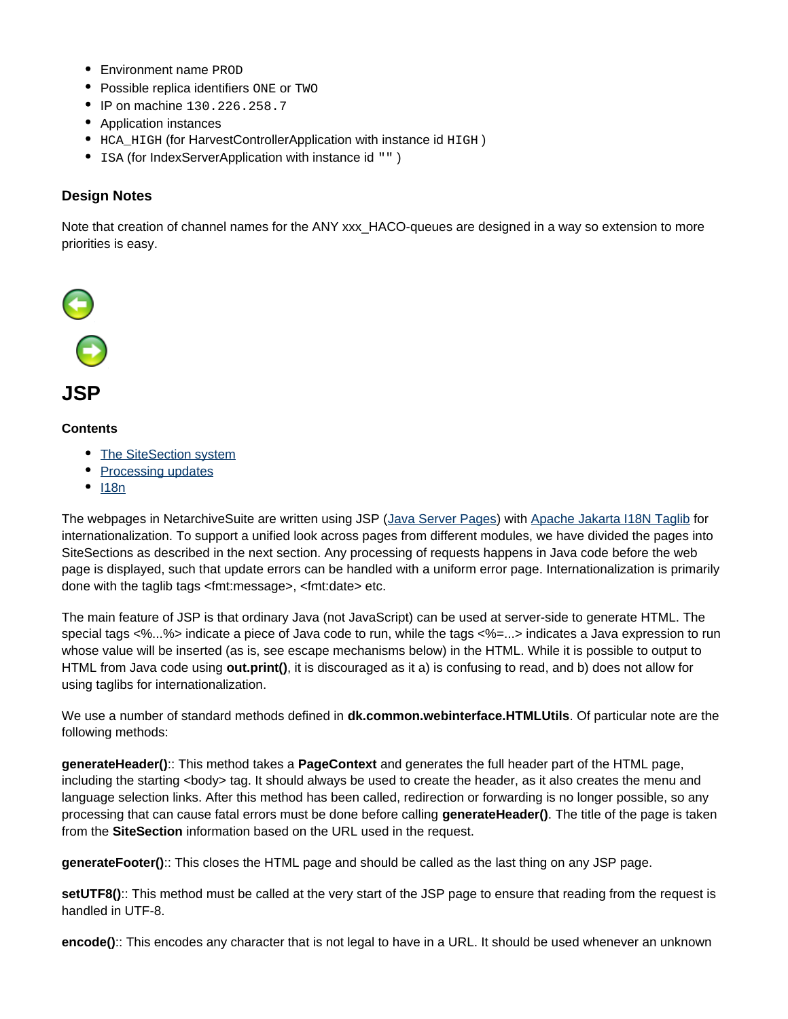- Environment name PROD
- Possible replica identifiers ONE or TWO
- IP on machine 130.226.258.7
- Application instances
- HCA\_HIGH (for HarvestControllerApplication with instance id HIGH)
- ISA (for IndexServerApplication with instance id "")

# <span id="page-6-1"></span>**Design Notes**

Note that creation of channel names for the ANY xxx HACO-queues are designed in a way so extension to more priorities is easy.



## <span id="page-6-0"></span>**Contents**

- [The SiteSection system](#page-7-0)
- [Processing updates](#page-7-1)
- $118n$

The webpages in NetarchiveSuite are written using JSP [\(Java Server Pages](http://java.sun.com/products/jsp)) with [Apache Jakarta I18N Taglib](http://jakarta.apache.org/taglibs/doc/i18n-doc/intro.html) for internationalization. To support a unified look across pages from different modules, we have divided the pages into SiteSections as described in the next section. Any processing of requests happens in Java code before the web page is displayed, such that update errors can be handled with a uniform error page. Internationalization is primarily done with the taglib tags <fmt:message>, <fmt:date> etc.

The main feature of JSP is that ordinary Java (not JavaScript) can be used at server-side to generate HTML. The special tags <%...%> indicate a piece of Java code to run, while the tags <%=...> indicates a Java expression to run whose value will be inserted (as is, see escape mechanisms below) in the HTML. While it is possible to output to HTML from Java code using **out.print()**, it is discouraged as it a) is confusing to read, and b) does not allow for using taglibs for internationalization.

We use a number of standard methods defined in **dk.common.webinterface.HTMLUtils**. Of particular note are the following methods:

**generateHeader()**:: This method takes a **PageContext** and generates the full header part of the HTML page, including the starting <body> tag. It should always be used to create the header, as it also creates the menu and language selection links. After this method has been called, redirection or forwarding is no longer possible, so any processing that can cause fatal errors must be done before calling **generateHeader()**. The title of the page is taken from the **SiteSection** information based on the URL used in the request.

**generateFooter()**:: This closes the HTML page and should be called as the last thing on any JSP page.

**setUTF8()**:: This method must be called at the very start of the JSP page to ensure that reading from the request is handled in UTF-8.

**encode()**:: This encodes any character that is not legal to have in a URL. It should be used whenever an unknown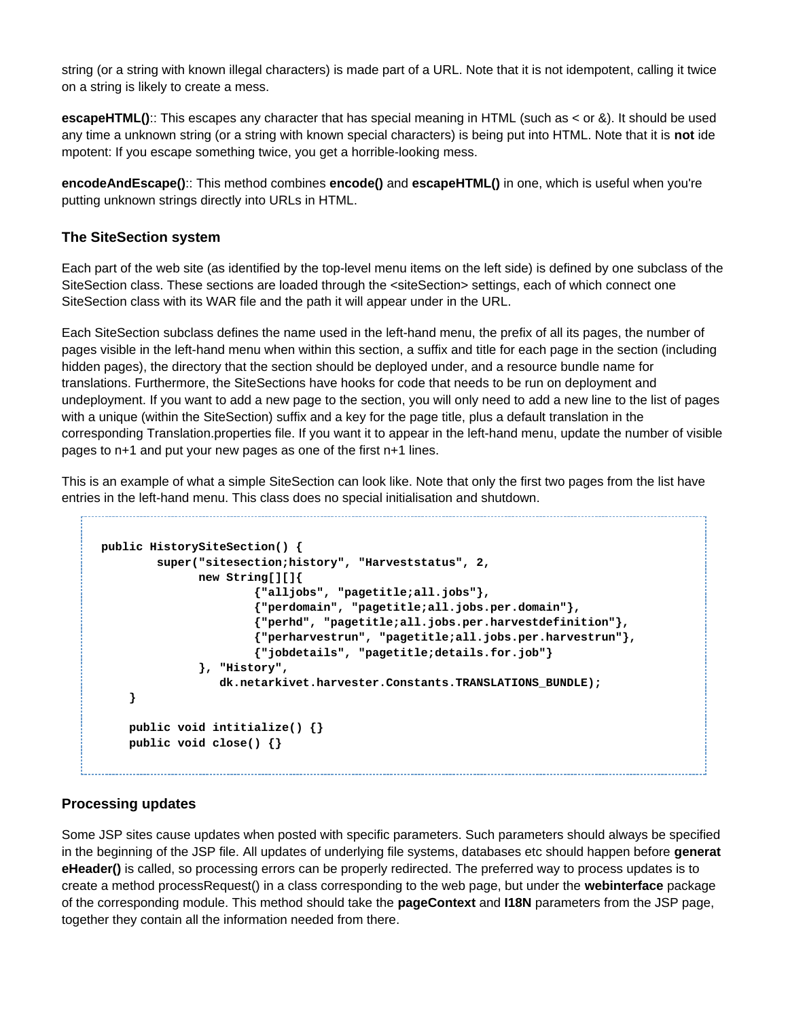string (or a string with known illegal characters) is made part of a URL. Note that it is not idempotent, calling it twice on a string is likely to create a mess.

**escapeHTML()**:: This escapes any character that has special meaning in HTML (such as < or &). It should be used any time a unknown string (or a string with known special characters) is being put into HTML. Note that it is **not** ide mpotent: If you escape something twice, you get a horrible-looking mess.

**encodeAndEscape()**:: This method combines **encode()** and **escapeHTML()** in one, which is useful when you're putting unknown strings directly into URLs in HTML.

## <span id="page-7-0"></span>**The SiteSection system**

Each part of the web site (as identified by the top-level menu items on the left side) is defined by one subclass of the SiteSection class. These sections are loaded through the <siteSection> settings, each of which connect one SiteSection class with its WAR file and the path it will appear under in the URL.

Each SiteSection subclass defines the name used in the left-hand menu, the prefix of all its pages, the number of pages visible in the left-hand menu when within this section, a suffix and title for each page in the section (including hidden pages), the directory that the section should be deployed under, and a resource bundle name for translations. Furthermore, the SiteSections have hooks for code that needs to be run on deployment and undeployment. If you want to add a new page to the section, you will only need to add a new line to the list of pages with a unique (within the SiteSection) suffix and a key for the page title, plus a default translation in the corresponding Translation.properties file. If you want it to appear in the left-hand menu, update the number of visible pages to n+1 and put your new pages as one of the first n+1 lines.

This is an example of what a simple SiteSection can look like. Note that only the first two pages from the list have entries in the left-hand menu. This class does no special initialisation and shutdown.

```
public HistorySiteSection() {
         super("sitesection;history", "Harveststatus", 2,
               new String[][]{
                        {"alljobs", "pagetitle;all.jobs"},
                        {"perdomain", "pagetitle;all.jobs.per.domain"},
                        {"perhd", "pagetitle;all.jobs.per.harvestdefinition"},
                        {"perharvestrun", "pagetitle;all.jobs.per.harvestrun"},
                        {"jobdetails", "pagetitle;details.for.job"}
               }, "History",
                  dk.netarkivet.harvester.Constants.TRANSLATIONS_BUNDLE);
     }
     public void intitialize() {}
     public void close() {}
```
# <span id="page-7-1"></span>**Processing updates**

Some JSP sites cause updates when posted with specific parameters. Such parameters should always be specified in the beginning of the JSP file. All updates of underlying file systems, databases etc should happen before **generat eHeader()** is called, so processing errors can be properly redirected. The preferred way to process updates is to create a method processRequest() in a class corresponding to the web page, but under the **webinterface** package of the corresponding module. This method should take the **pageContext** and **I18N** parameters from the JSP page, together they contain all the information needed from there.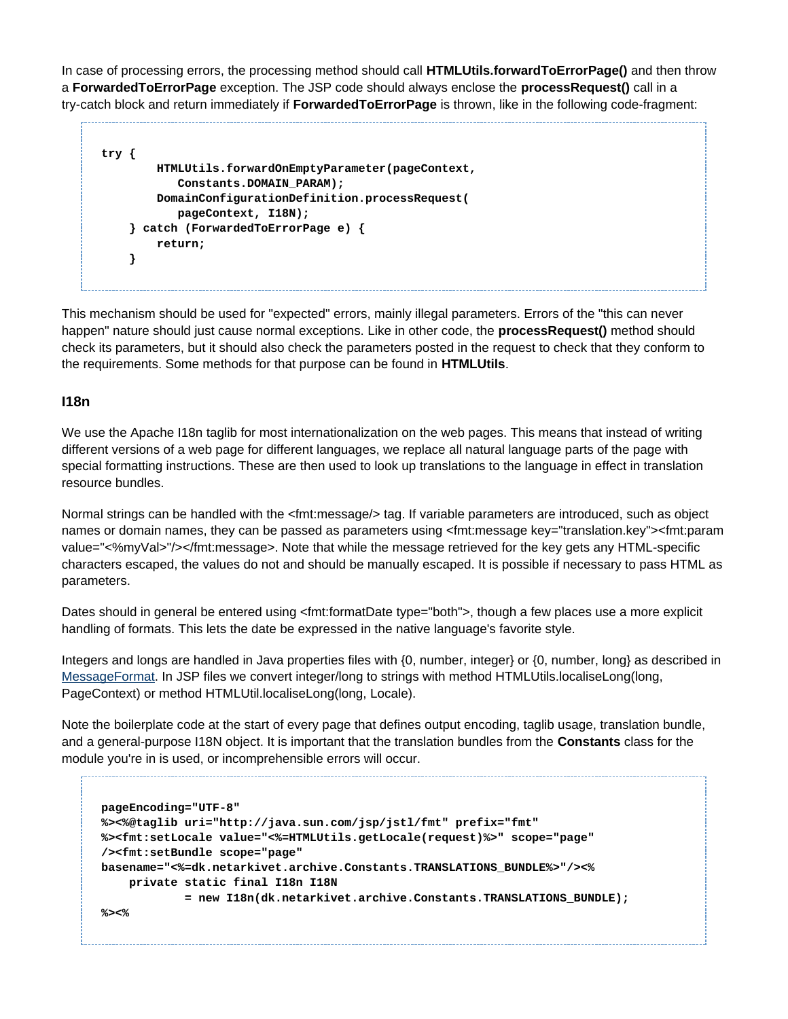In case of processing errors, the processing method should call **HTMLUtils.forwardToErrorPage()** and then throw a **ForwardedToErrorPage** exception. The JSP code should always enclose the **processRequest()** call in a try-catch block and return immediately if **ForwardedToErrorPage** is thrown, like in the following code-fragment:

```
try {
         HTMLUtils.forwardOnEmptyParameter(pageContext,
            Constants.DOMAIN_PARAM);
         DomainConfigurationDefinition.processRequest(
            pageContext, I18N);
     } catch (ForwardedToErrorPage e) {
         return;
     }
```
This mechanism should be used for "expected" errors, mainly illegal parameters. Errors of the "this can never happen" nature should just cause normal exceptions. Like in other code, the **processRequest()** method should check its parameters, but it should also check the parameters posted in the request to check that they conform to the requirements. Some methods for that purpose can be found in **HTMLUtils**.

## <span id="page-8-0"></span>**I18n**

We use the Apache I18n taglib for most internationalization on the web pages. This means that instead of writing different versions of a web page for different languages, we replace all natural language parts of the page with special formatting instructions. These are then used to look up translations to the language in effect in translation resource bundles.

Normal strings can be handled with the <fmt:message/> tag. If variable parameters are introduced, such as object names or domain names, they can be passed as parameters using <fmt:message key="translation.key"><fmt:param value="<%myVal>"/></fmt:message>. Note that while the message retrieved for the key gets any HTML-specific characters escaped, the values do not and should be manually escaped. It is possible if necessary to pass HTML as parameters.

Dates should in general be entered using <fmt:formatDate type="both">, though a few places use a more explicit handling of formats. This lets the date be expressed in the native language's favorite style.

Integers and longs are handled in Java properties files with {0, number, integer} or {0, number, long} as described in [MessageFormat](http://java.sun.com/javase/7/docs/api/java/text/MessageFormat.html). In JSP files we convert integer/long to strings with method HTMLUtils.localiseLong(long, PageContext) or method HTMLUtil.localiseLong(long, Locale).

Note the boilerplate code at the start of every page that defines output encoding, taglib usage, translation bundle, and a general-purpose I18N object. It is important that the translation bundles from the **Constants** class for the module you're in is used, or incomprehensible errors will occur.

```
pageEncoding="UTF-8"
%><%@taglib uri="http://java.sun.com/jsp/jstl/fmt" prefix="fmt"
%><fmt:setLocale value="<%=HTMLUtils.getLocale(request)%>" scope="page"
/><fmt:setBundle scope="page"
basename="<%=dk.netarkivet.archive.Constants.TRANSLATIONS_BUNDLE%>"/><%
     private static final I18n I18N
             = new I18n(dk.netarkivet.archive.Constants.TRANSLATIONS_BUNDLE);
%><%
```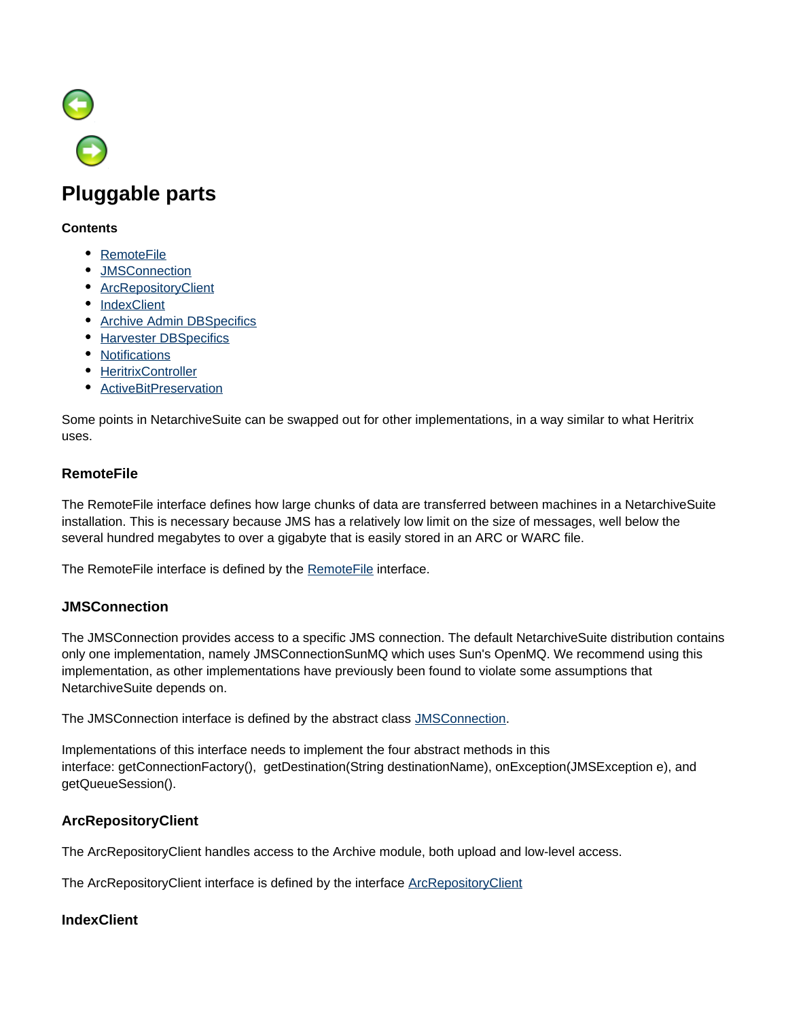

# <span id="page-9-0"></span>**Pluggable parts**

#### **Contents**

- [RemoteFile](#page-9-1)
- [JMSConnection](#page-9-2)
- **[ArcRepositoryClient](#page-9-3)**
- [IndexClient](#page-9-4)
- [Archive Admin DBSpecifics](#page-10-1)
- **[Harvester DBSpecifics](#page-10-2)**
- [Notifications](#page-10-3)
- [HeritrixController](#page-10-4)
- [ActiveBitPreservation](#page-10-5)

Some points in NetarchiveSuite can be swapped out for other implementations, in a way similar to what Heritrix uses.

# <span id="page-9-1"></span>**RemoteFile**

The RemoteFile interface defines how large chunks of data are transferred between machines in a NetarchiveSuite installation. This is necessary because JMS has a relatively low limit on the size of messages, well below the several hundred megabytes to over a gigabyte that is easily stored in an ARC or WARC file.

The [RemoteFile](https://sbforge.org/maven/netarchivesuite/apidocs/release/dk/netarkivet/common/distribute/RemoteFile.html) interface is defined by the **RemoteFile** interface.

# <span id="page-9-2"></span>**JMSConnection**

The JMSConnection provides access to a specific JMS connection. The default NetarchiveSuite distribution contains only one implementation, namely JMSConnectionSunMQ which uses Sun's OpenMQ. We recommend using this implementation, as other implementations have previously been found to violate some assumptions that NetarchiveSuite depends on.

The JMSConnection interface is defined by the abstract class [JMSConnection](https://sbforge.org/maven/netarchivesuite/apidocs/release/dk/netarkivet/common/distribute/JMSConnection.html).

Implementations of this interface needs to implement the four abstract methods in this interface: getConnectionFactory(), getDestination(String destinationName), onException(JMSException e), and getQueueSession().

# <span id="page-9-3"></span>**ArcRepositoryClient**

The ArcRepositoryClient handles access to the Archive module, both upload and low-level access.

The [ArcRepositoryClient](https://sbforge.org/maven/netarchivesuite/apidocs/release/dk/netarkivet/common/distribute/arcrepository/ArcRepositoryClient.html) interface is defined by the interface ArcRepositoryClient

# <span id="page-9-4"></span>**IndexClient**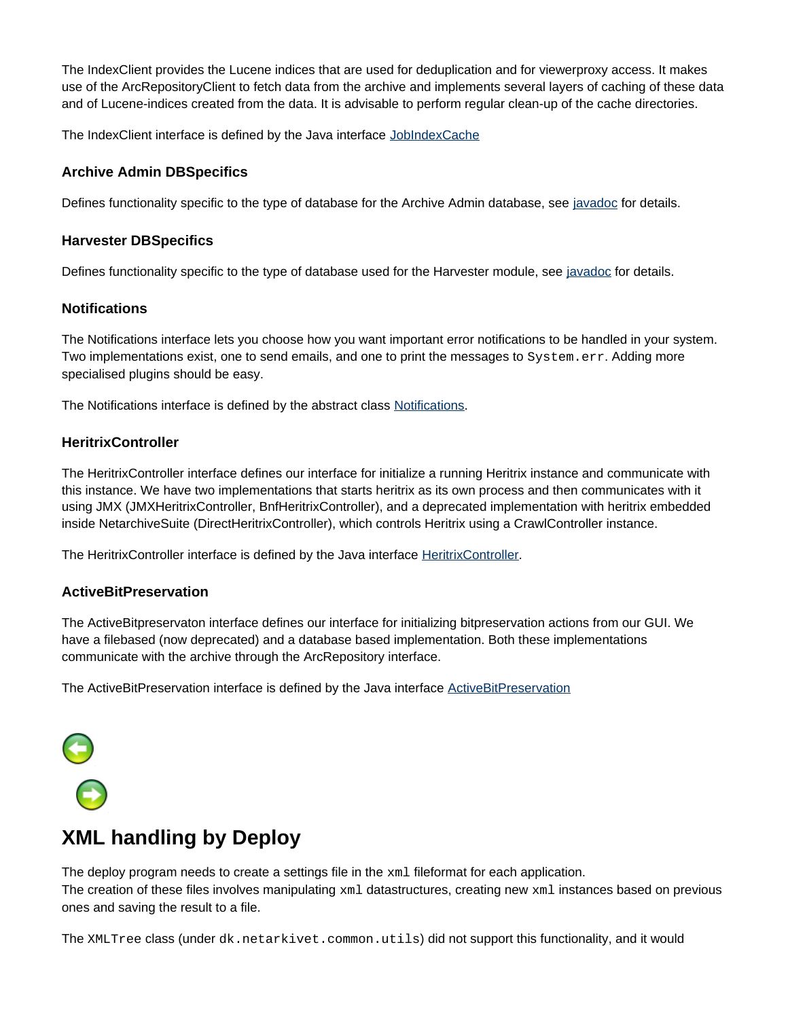The IndexClient provides the Lucene indices that are used for deduplication and for viewerproxy access. It makes use of the ArcRepositoryClient to fetch data from the archive and implements several layers of caching of these data and of Lucene-indices created from the data. It is advisable to perform regular clean-up of the cache directories.

The IndexClient interface is defined by the Java interface [JobIndexCache](https://sbforge.org/maven/netarchivesuite/apidocs/release/dk/netarkivet/common/distribute/indexserver/JobIndexCache.html)

# <span id="page-10-1"></span>**Archive Admin DBSpecifics**

Defines functionality specific to the type of database for the Archive Admin database, see [javadoc](https://sbforge.org/maven/netarchivesuite/apidocs/release/dk/netarkivet/archive/arcrepositoryadmin/DBSpecifics.html) for details.

#### <span id="page-10-2"></span>**Harvester DBSpecifics**

Defines functionality specific to the type of database used for the Harvester module, see [javadoc](https://sbforge.org/maven/netarchivesuite/apidocs/release/dk/netarkivet/harvester/datamodel/DBSpecifics.html) for details.

## <span id="page-10-3"></span>**Notifications**

The Notifications interface lets you choose how you want important error notifications to be handled in your system. Two implementations exist, one to send emails, and one to print the messages to System.err. Adding more specialised plugins should be easy.

The Notifications interface is defined by the abstract class [Notifications.](https://sbforge.org/maven/netarchivesuite/apidocs/release/dk/netarkivet/common/utils/Notifications.html)

# <span id="page-10-4"></span>**HeritrixController**

The HeritrixController interface defines our interface for initialize a running Heritrix instance and communicate with this instance. We have two implementations that starts heritrix as its own process and then communicates with it using JMX (JMXHeritrixController, BnfHeritrixController), and a deprecated implementation with heritrix embedded inside NetarchiveSuite (DirectHeritrixController), which controls Heritrix using a CrawlController instance.

The [HeritrixController](https://sbforge.org/maven/netarchivesuite/apidocs/release/dk/netarkivet/harvester/harvesting/controller/HeritrixController.html) interface is defined by the Java interface **HeritrixController**.

# <span id="page-10-5"></span>**ActiveBitPreservation**

The ActiveBitpreservaton interface defines our interface for initializing bitpreservation actions from our GUI. We have a filebased (now deprecated) and a database based implementation. Both these implementations communicate with the archive through the ArcRepository interface.

The [ActiveBitPreservation](https://sbforge.org/maven/netarchivesuite/apidocs/release/dk/netarkivet/archive/arcrepository/bitpreservation/ActiveBitPreservation.html) interface is defined by the Java interface ActiveBitPreservation



# <span id="page-10-0"></span>**XML handling by Deploy**

The deploy program needs to create a settings file in the  $x<sub>m</sub>1$  fileformat for each application. The creation of these files involves manipulating  $xml$  datastructures, creating new  $xml$  instances based on previous ones and saving the result to a file.

The XMLTree class (under dk.netarkivet.common.utils) did not support this functionality, and it would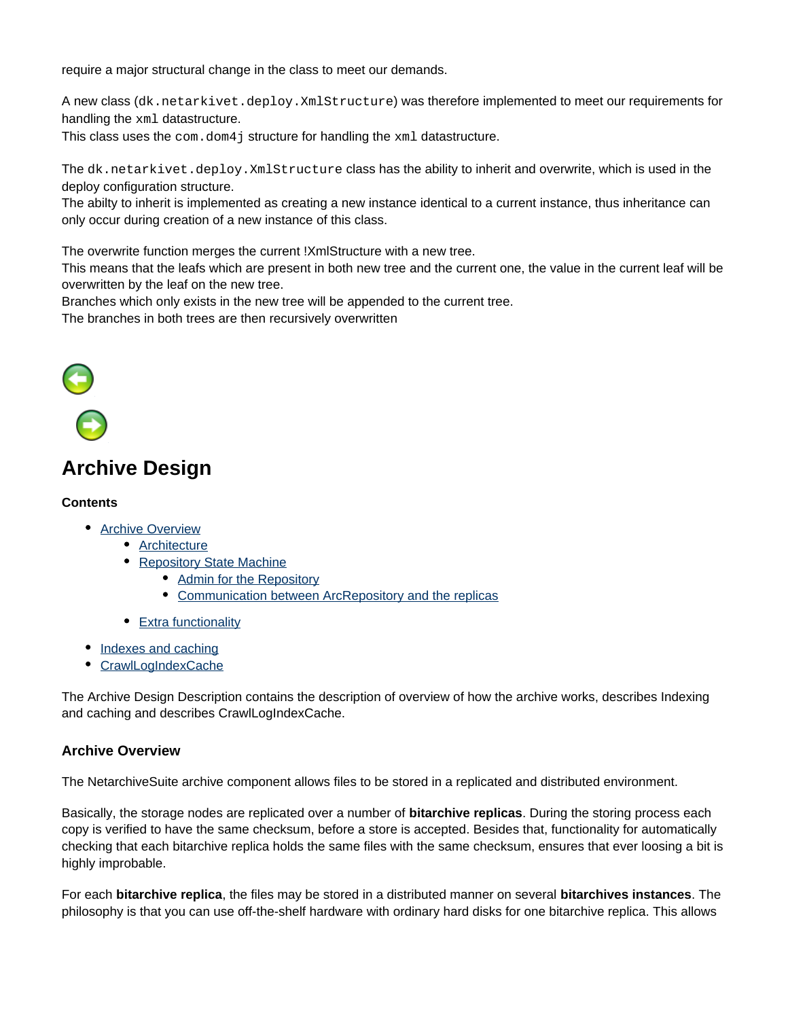require a major structural change in the class to meet our demands.

A new class (dk.netarkivet.deploy.XmlStructure) was therefore implemented to meet our requirements for handling the xml datastructure.

This class uses the  $com.dom4$  j structure for handling the  $xml$  datastructure.

The dk.netarkivet.deploy.XmlStructure class has the ability to inherit and overwrite, which is used in the deploy configuration structure.

The abilty to inherit is implemented as creating a new instance identical to a current instance, thus inheritance can only occur during creation of a new instance of this class.

The overwrite function merges the current !XmlStructure with a new tree.

This means that the leafs which are present in both new tree and the current one, the value in the current leaf will be overwritten by the leaf on the new tree.

Branches which only exists in the new tree will be appended to the current tree.

The branches in both trees are then recursively overwritten



# <span id="page-11-0"></span>**Archive Design**

#### **Contents**

- [Archive Overview](#page-11-1)
	- [Architecture](#page-12-0)
	- [Repository State Machine](#page-12-1)
		- [Admin for the Repository](#page-16-0)
		- [Communication between ArcRepository and the replicas](#page-17-0)
	- [Extra functionality](#page-17-1)
- [Indexes and caching](#page-18-0)
- **[CrawlLogIndexCache](#page-19-0)**

The Archive Design Description contains the description of overview of how the archive works, describes Indexing and caching and describes CrawlLogIndexCache.

#### <span id="page-11-1"></span>**Archive Overview**

The NetarchiveSuite archive component allows files to be stored in a replicated and distributed environment.

Basically, the storage nodes are replicated over a number of **bitarchive replicas**. During the storing process each copy is verified to have the same checksum, before a store is accepted. Besides that, functionality for automatically checking that each bitarchive replica holds the same files with the same checksum, ensures that ever loosing a bit is highly improbable.

For each **bitarchive replica**, the files may be stored in a distributed manner on several **bitarchives instances**. The philosophy is that you can use off-the-shelf hardware with ordinary hard disks for one bitarchive replica. This allows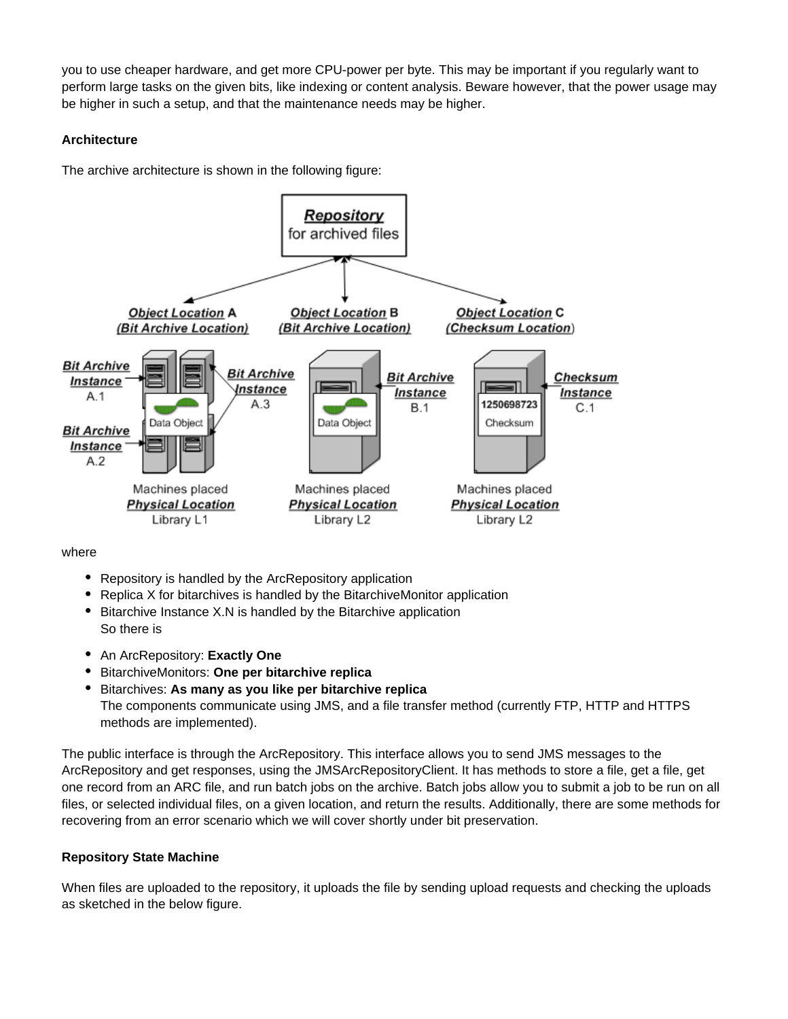you to use cheaper hardware, and get more CPU-power per byte. This may be important if you regularly want to perform large tasks on the given bits, like indexing or content analysis. Beware however, that the power usage may be higher in such a setup, and that the maintenance needs may be higher.

## <span id="page-12-0"></span>**Architecture**

The archive architecture is shown in the following figure:



where

- Repository is handled by the ArcRepository application
- Replica X for bitarchives is handled by the BitarchiveMonitor application
- Bitarchive Instance X.N is handled by the Bitarchive application So there is
- An ArcRepository: **Exactly One**
- BitarchiveMonitors: **One per bitarchive replica**
- Bitarchives: **As many as you like per bitarchive replica** The components communicate using JMS, and a file transfer method (currently FTP, HTTP and HTTPS methods are implemented).

The public interface is through the ArcRepository. This interface allows you to send JMS messages to the ArcRepository and get responses, using the JMSArcRepositoryClient. It has methods to store a file, get a file, get one record from an ARC file, and run batch jobs on the archive. Batch jobs allow you to submit a job to be run on all files, or selected individual files, on a given location, and return the results. Additionally, there are some methods for recovering from an error scenario which we will cover shortly under bit preservation.

# <span id="page-12-1"></span>**Repository State Machine**

When files are uploaded to the repository, it uploads the file by sending upload requests and checking the uploads as sketched in the below figure.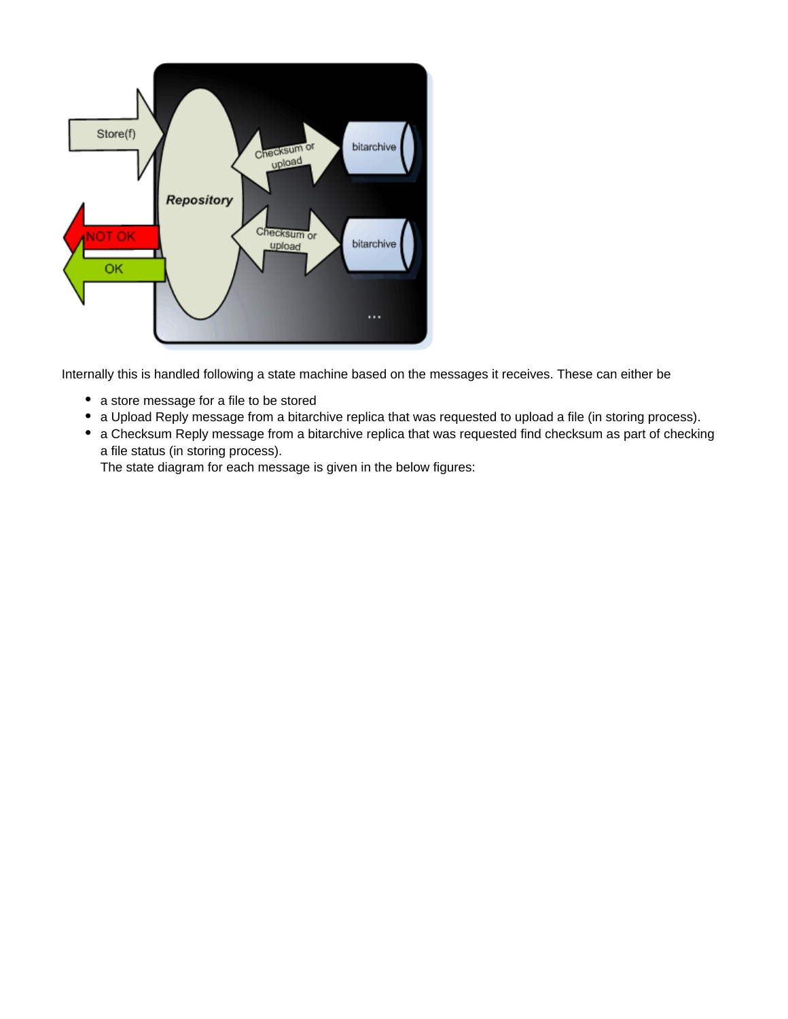

Internally this is handled following a state machine based on the messages it receives. These can either be

- a store message for a file to be stored
- a Upload Reply message from a bitarchive replica that was requested to upload a file (in storing process).
- a Checksum Reply message from a bitarchive replica that was requested find checksum as part of checking a file status (in storing process).

The state diagram for each message is given in the below figures: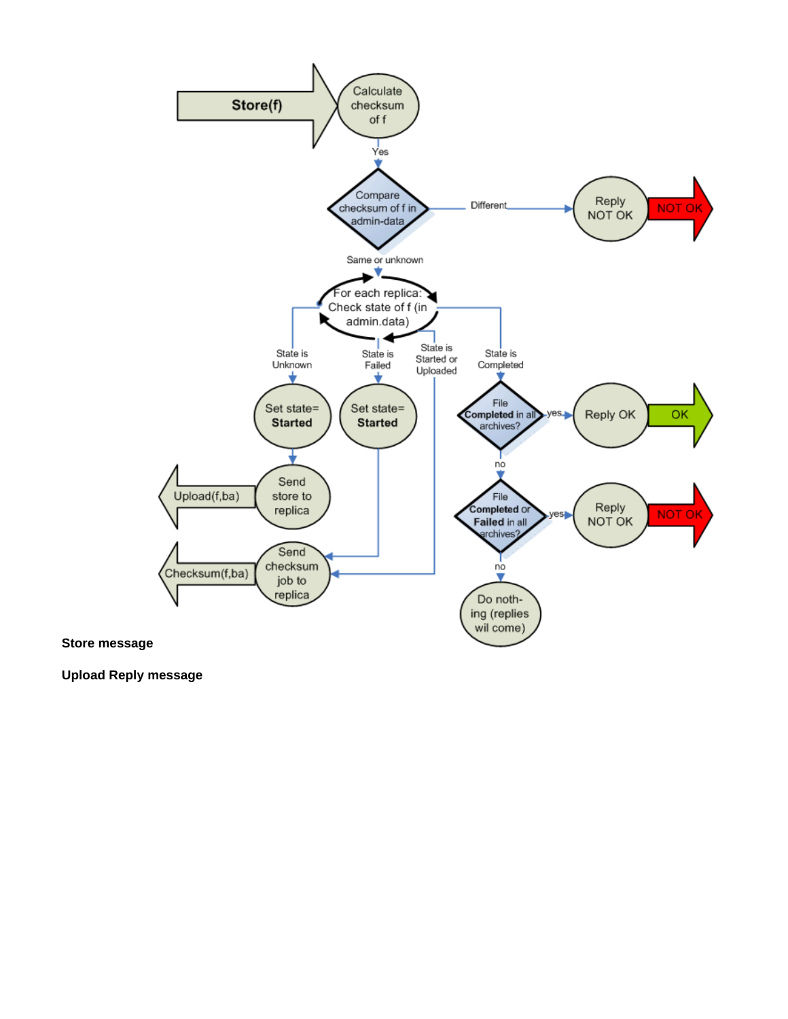

**Upload Reply message**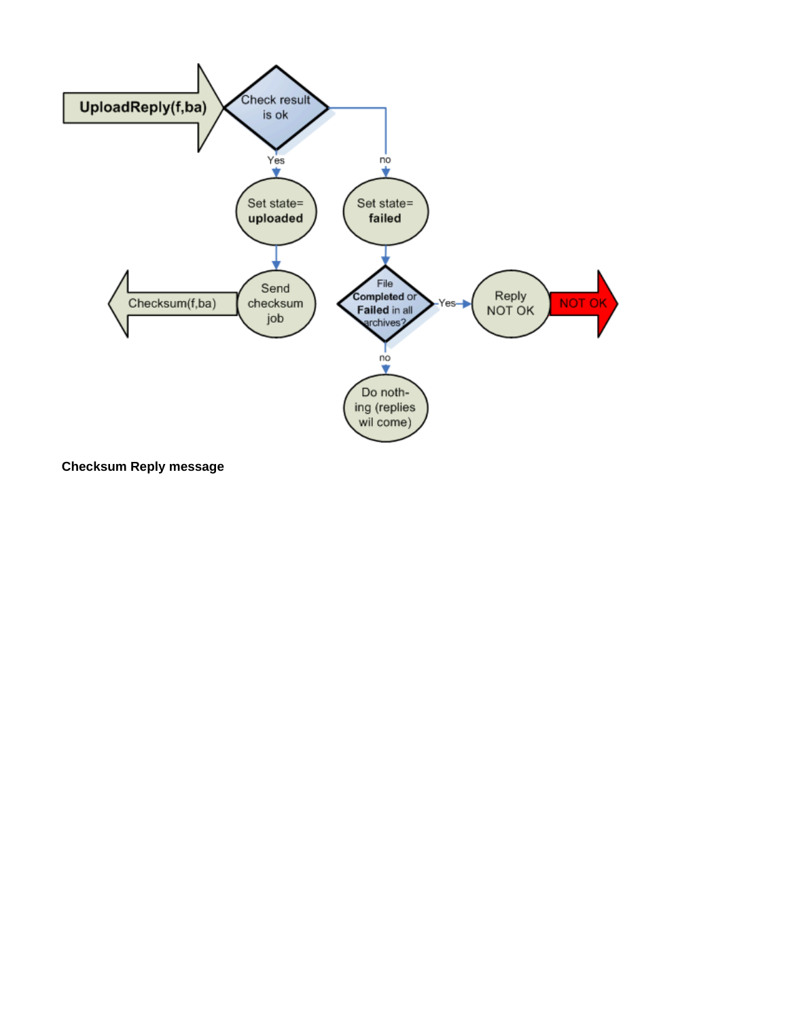

**Checksum Reply message**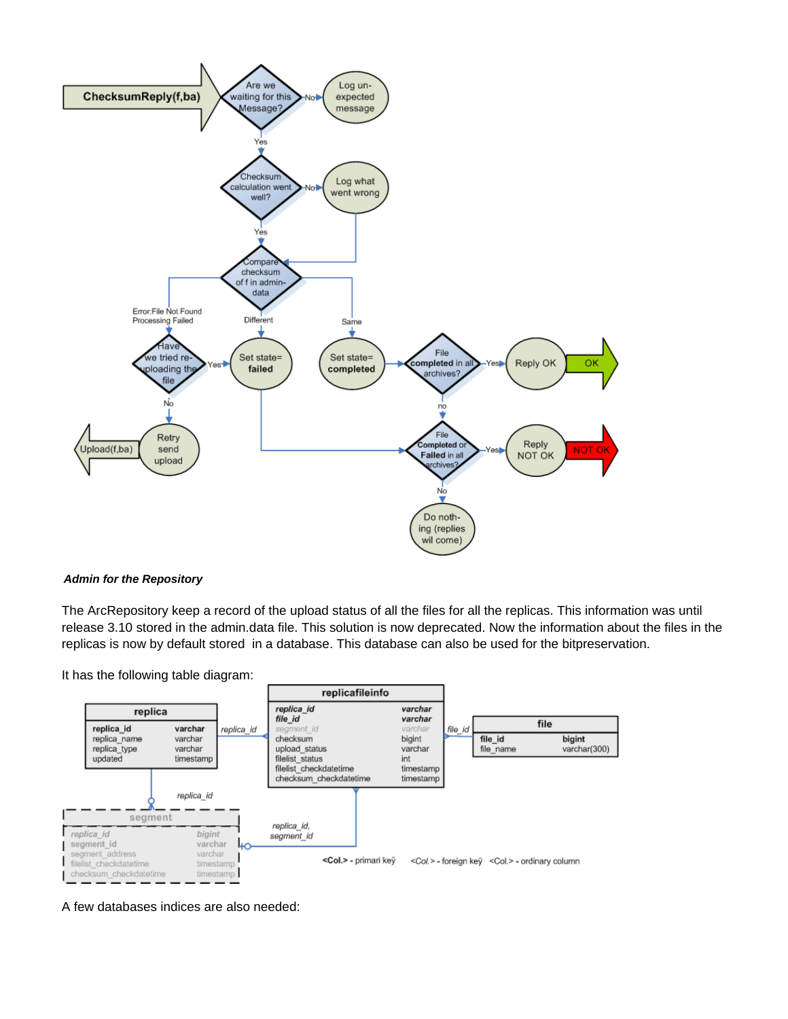

#### <span id="page-16-0"></span>**Admin for the Repository**

The ArcRepository keep a record of the upload status of all the files for all the replicas. This information was until release 3.10 stored in the admin.data file. This solution is now deprecated. Now the information about the files in the replicas is now by default stored in a database. This database can also be used for the bitpreservation.

It has the following table diagram:



A few databases indices are also needed: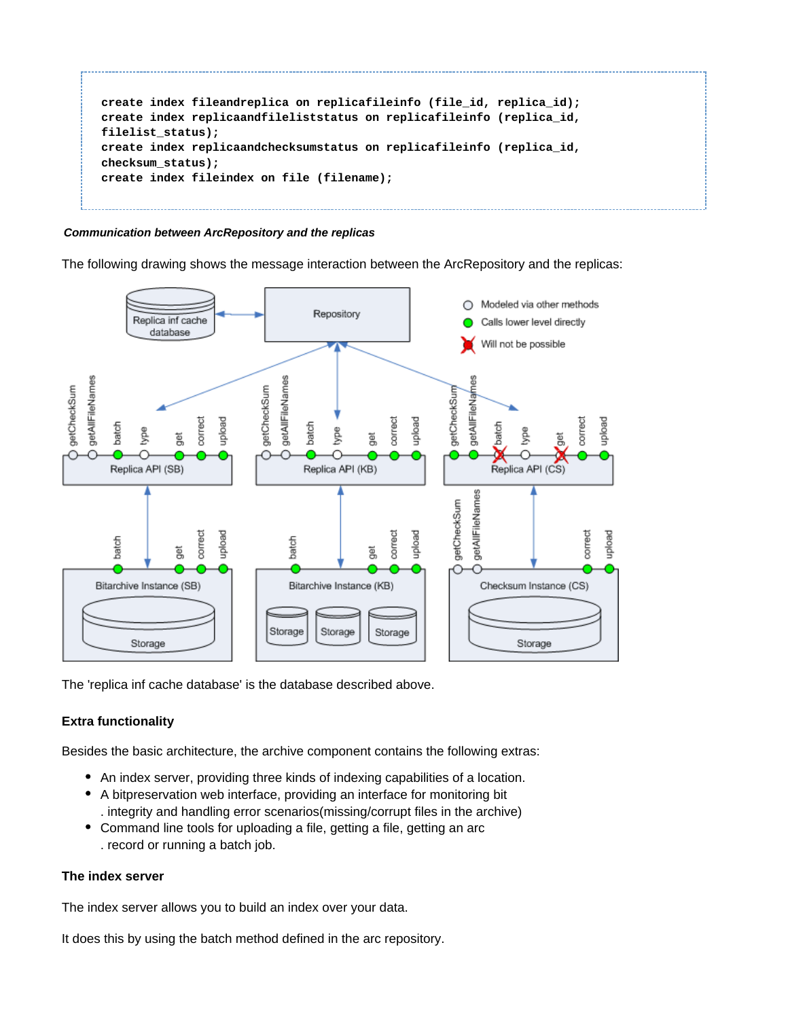```
create index fileandreplica on replicafileinfo (file_id, replica_id);
create index replicaandfileliststatus on replicafileinfo (replica_id,
filelist_status);
create index replicaandchecksumstatus on replicafileinfo (replica_id,
checksum_status);
create index fileindex on file (filename);
```
#### <span id="page-17-0"></span>**Communication between ArcRepository and the replicas**

The following drawing shows the message interaction between the ArcRepository and the replicas:



The 'replica inf cache database' is the database described above.

#### <span id="page-17-1"></span>**Extra functionality**

Besides the basic architecture, the archive component contains the following extras:

- An index server, providing three kinds of indexing capabilities of a location.
- A bitpreservation web interface, providing an interface for monitoring bit . integrity and handling error scenarios(missing/corrupt files in the archive)
- Command line tools for uploading a file, getting a file, getting an arc . record or running a batch job.

#### **The index server**

The index server allows you to build an index over your data.

It does this by using the batch method defined in the arc repository.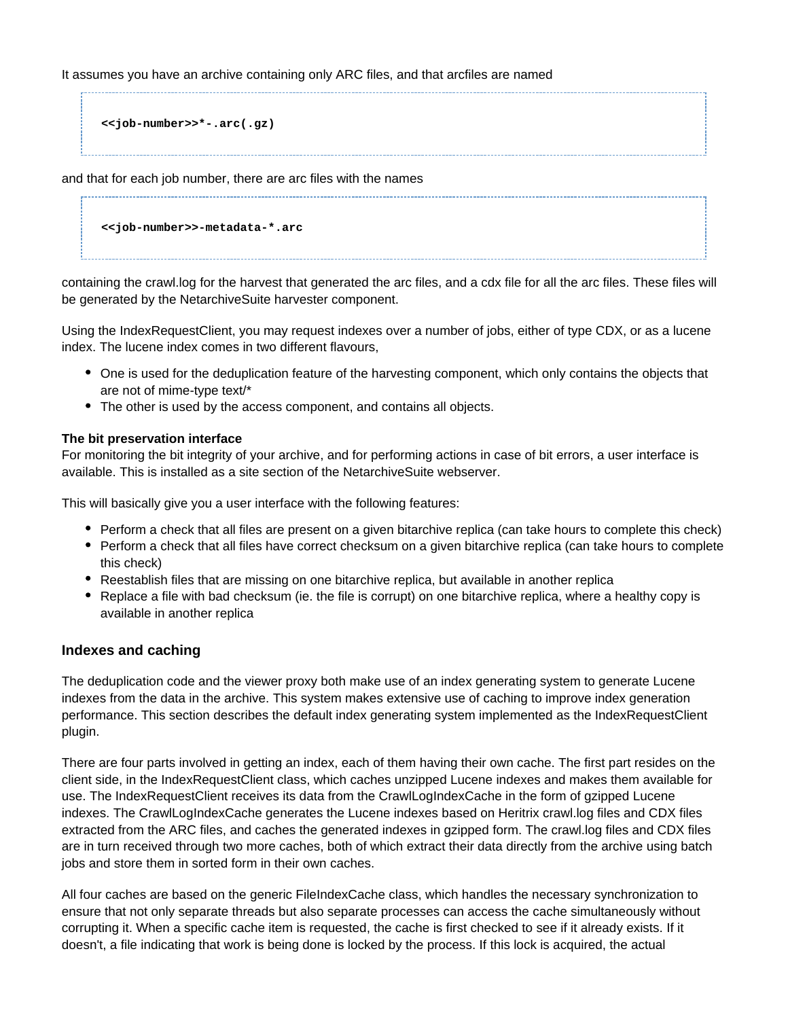It assumes you have an archive containing only ARC files, and that arcfiles are named

**<<job-number>>\*-.arc(.gz)**

and that for each job number, there are arc files with the names

**<<job-number>>-metadata-\*.arc**

containing the crawl.log for the harvest that generated the arc files, and a cdx file for all the arc files. These files will be generated by the NetarchiveSuite harvester component.

Using the IndexRequestClient, you may request indexes over a number of jobs, either of type CDX, or as a lucene index. The lucene index comes in two different flavours,

- One is used for the deduplication feature of the harvesting component, which only contains the objects that are not of mime-type text/\*
- The other is used by the access component, and contains all objects.

#### **The bit preservation interface**

For monitoring the bit integrity of your archive, and for performing actions in case of bit errors, a user interface is available. This is installed as a site section of the NetarchiveSuite webserver.

This will basically give you a user interface with the following features:

- Perform a check that all files are present on a given bitarchive replica (can take hours to complete this check)
- Perform a check that all files have correct checksum on a given bitarchive replica (can take hours to complete this check)
- Reestablish files that are missing on one bitarchive replica, but available in another replica
- Replace a file with bad checksum (ie. the file is corrupt) on one bitarchive replica, where a healthy copy is available in another replica

#### <span id="page-18-0"></span>**Indexes and caching**

The deduplication code and the viewer proxy both make use of an index generating system to generate Lucene indexes from the data in the archive. This system makes extensive use of caching to improve index generation performance. This section describes the default index generating system implemented as the IndexRequestClient plugin.

There are four parts involved in getting an index, each of them having their own cache. The first part resides on the client side, in the IndexRequestClient class, which caches unzipped Lucene indexes and makes them available for use. The IndexRequestClient receives its data from the CrawlLogIndexCache in the form of gzipped Lucene indexes. The CrawlLogIndexCache generates the Lucene indexes based on Heritrix crawl.log files and CDX files extracted from the ARC files, and caches the generated indexes in gzipped form. The crawl.log files and CDX files are in turn received through two more caches, both of which extract their data directly from the archive using batch jobs and store them in sorted form in their own caches.

All four caches are based on the generic FileIndexCache class, which handles the necessary synchronization to ensure that not only separate threads but also separate processes can access the cache simultaneously without corrupting it. When a specific cache item is requested, the cache is first checked to see if it already exists. If it doesn't, a file indicating that work is being done is locked by the process. If this lock is acquired, the actual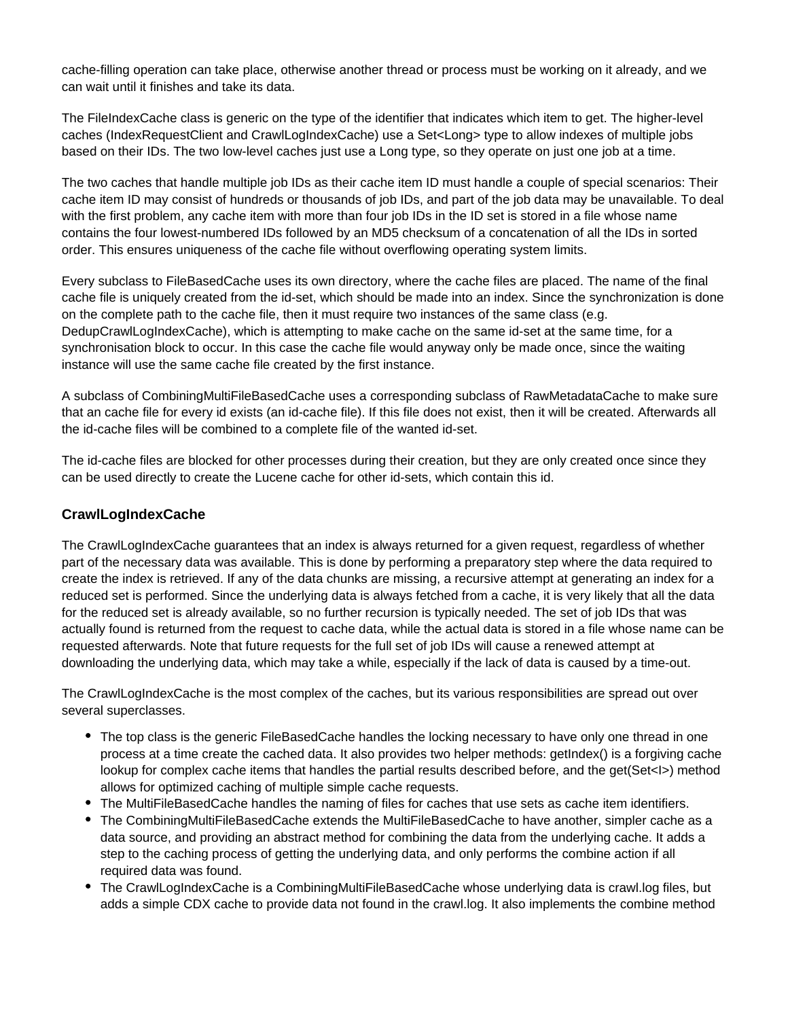cache-filling operation can take place, otherwise another thread or process must be working on it already, and we can wait until it finishes and take its data.

The FileIndexCache class is generic on the type of the identifier that indicates which item to get. The higher-level caches (IndexRequestClient and CrawlLogIndexCache) use a Set<Long> type to allow indexes of multiple jobs based on their IDs. The two low-level caches just use a Long type, so they operate on just one job at a time.

The two caches that handle multiple job IDs as their cache item ID must handle a couple of special scenarios: Their cache item ID may consist of hundreds or thousands of job IDs, and part of the job data may be unavailable. To deal with the first problem, any cache item with more than four job IDs in the ID set is stored in a file whose name contains the four lowest-numbered IDs followed by an MD5 checksum of a concatenation of all the IDs in sorted order. This ensures uniqueness of the cache file without overflowing operating system limits.

Every subclass to FileBasedCache uses its own directory, where the cache files are placed. The name of the final cache file is uniquely created from the id-set, which should be made into an index. Since the synchronization is done on the complete path to the cache file, then it must require two instances of the same class (e.g. DedupCrawlLogIndexCache), which is attempting to make cache on the same id-set at the same time, for a synchronisation block to occur. In this case the cache file would anyway only be made once, since the waiting instance will use the same cache file created by the first instance.

A subclass of CombiningMultiFileBasedCache uses a corresponding subclass of RawMetadataCache to make sure that an cache file for every id exists (an id-cache file). If this file does not exist, then it will be created. Afterwards all the id-cache files will be combined to a complete file of the wanted id-set.

The id-cache files are blocked for other processes during their creation, but they are only created once since they can be used directly to create the Lucene cache for other id-sets, which contain this id.

# <span id="page-19-0"></span>**CrawlLogIndexCache**

The CrawlLogIndexCache guarantees that an index is always returned for a given request, regardless of whether part of the necessary data was available. This is done by performing a preparatory step where the data required to create the index is retrieved. If any of the data chunks are missing, a recursive attempt at generating an index for a reduced set is performed. Since the underlying data is always fetched from a cache, it is very likely that all the data for the reduced set is already available, so no further recursion is typically needed. The set of job IDs that was actually found is returned from the request to cache data, while the actual data is stored in a file whose name can be requested afterwards. Note that future requests for the full set of job IDs will cause a renewed attempt at downloading the underlying data, which may take a while, especially if the lack of data is caused by a time-out.

The CrawlLogIndexCache is the most complex of the caches, but its various responsibilities are spread out over several superclasses.

- The top class is the generic FileBasedCache handles the locking necessary to have only one thread in one process at a time create the cached data. It also provides two helper methods: getIndex() is a forgiving cache lookup for complex cache items that handles the partial results described before, and the get(Set<I>) method allows for optimized caching of multiple simple cache requests.
- The MultiFileBasedCache handles the naming of files for caches that use sets as cache item identifiers.
- The CombiningMultiFileBasedCache extends the MultiFileBasedCache to have another, simpler cache as a data source, and providing an abstract method for combining the data from the underlying cache. It adds a step to the caching process of getting the underlying data, and only performs the combine action if all required data was found.
- The CrawlLogIndexCache is a CombiningMultiFileBasedCache whose underlying data is crawl.log files, but adds a simple CDX cache to provide data not found in the crawl.log. It also implements the combine method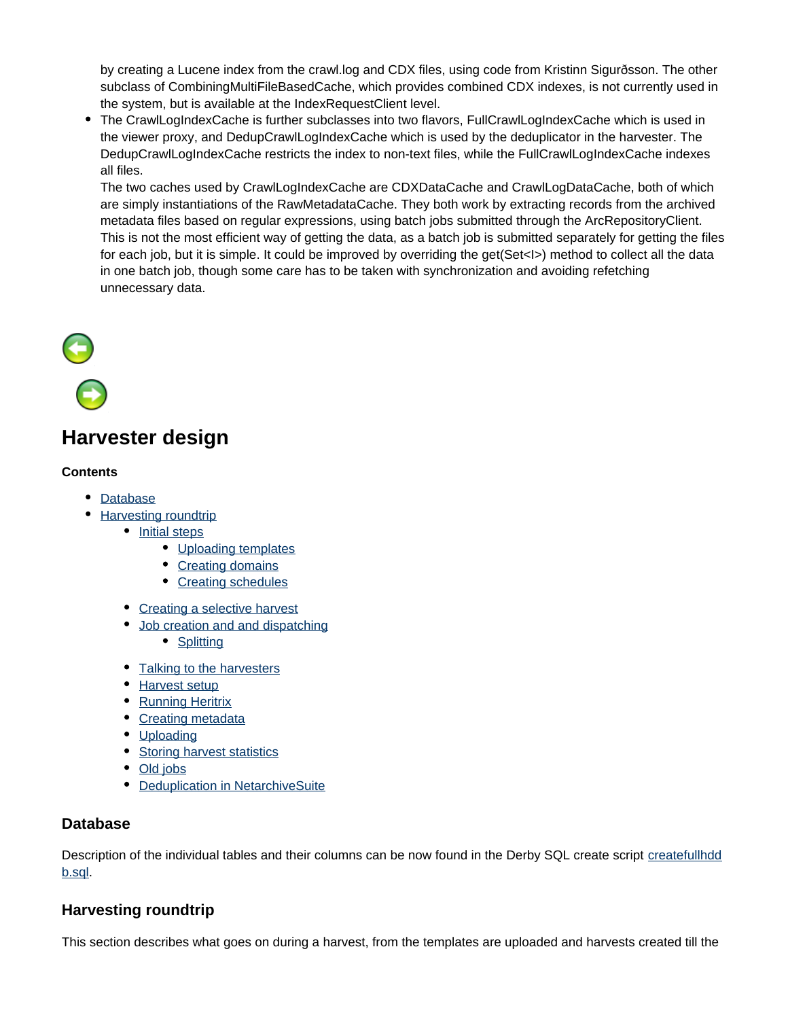by creating a Lucene index from the crawl.log and CDX files, using code from Kristinn Sigurðsson. The other subclass of CombiningMultiFileBasedCache, which provides combined CDX indexes, is not currently used in the system, but is available at the IndexRequestClient level.

• The CrawlLogIndexCache is further subclasses into two flavors, FullCrawlLogIndexCache which is used in the viewer proxy, and DedupCrawlLogIndexCache which is used by the deduplicator in the harvester. The DedupCrawlLogIndexCache restricts the index to non-text files, while the FullCrawlLogIndexCache indexes all files.

The two caches used by CrawlLogIndexCache are CDXDataCache and CrawlLogDataCache, both of which are simply instantiations of the RawMetadataCache. They both work by extracting records from the archived metadata files based on regular expressions, using batch jobs submitted through the ArcRepositoryClient. This is not the most efficient way of getting the data, as a batch job is submitted separately for getting the files for each job, but it is simple. It could be improved by overriding the get(Set<I>) method to collect all the data in one batch job, though some care has to be taken with synchronization and avoiding refetching unnecessary data.

# $\Theta$

# <span id="page-20-0"></span>**Harvester design**

# **Contents**

- [Database](#page-20-1)
- [Harvesting roundtrip](#page-20-2)
	- [Initial steps](#page-21-0)
		- [Uploading templates](#page-21-1)
		- [Creating domains](#page-21-2)
		- [Creating schedules](#page-21-3)
	- [Creating a selective harvest](#page-21-4)
	- [Job creation and and dispatching](#page-21-5)
		- [Splitting](#page-21-6)
	- [Talking to the harvesters](#page-23-0)
	- [Harvest setup](#page-23-1)
	- [Running Heritrix](#page-23-2)
	- [Creating metadata](#page-24-0)
	- [Uploading](#page-25-0)
	- [Storing harvest statistics](#page-25-1)
	- [Old jobs](#page-25-2)
	- [Deduplication in NetarchiveSuite](#page-25-3)

# <span id="page-20-1"></span>**Database**

Description of the individual tables and their columns can be now found in the Derby SQL create script [createfullhdd](https://sbforge.org/svn/netarchivesuite/trunk/scripts/sql/createfullhddb.sql) [b.sql](https://sbforge.org/svn/netarchivesuite/trunk/scripts/sql/createfullhddb.sql).

# <span id="page-20-2"></span>**Harvesting roundtrip**

This section describes what goes on during a harvest, from the templates are uploaded and harvests created till the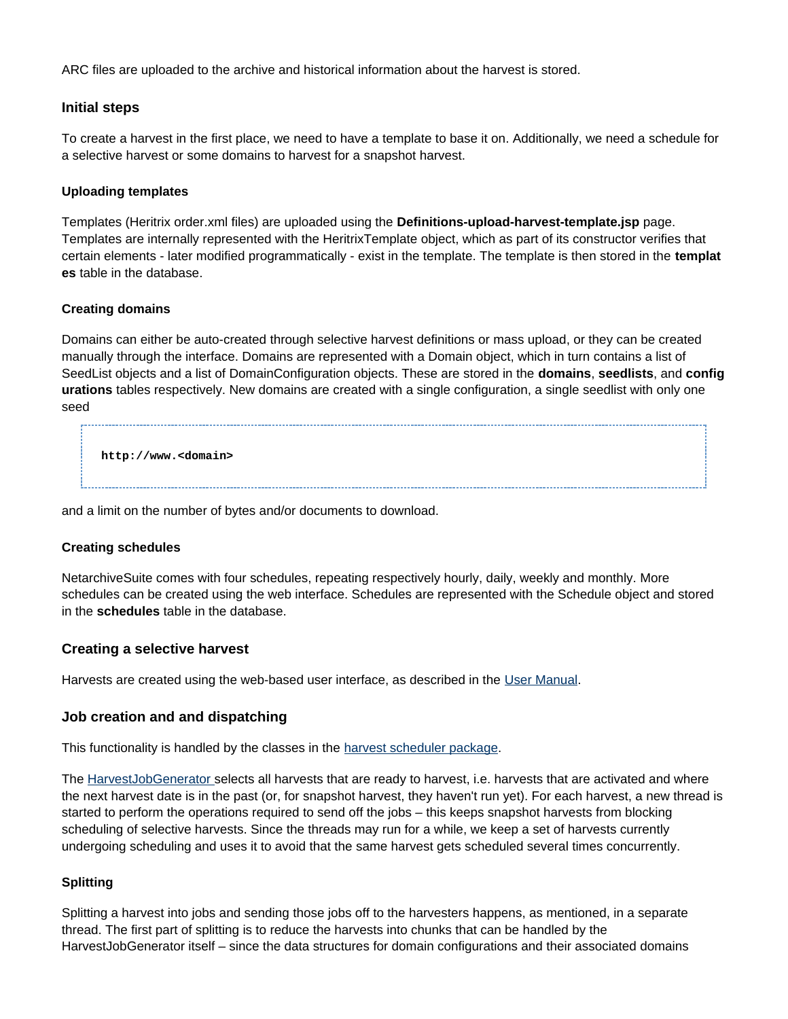ARC files are uploaded to the archive and historical information about the harvest is stored.

## <span id="page-21-0"></span>**Initial steps**

To create a harvest in the first place, we need to have a template to base it on. Additionally, we need a schedule for a selective harvest or some domains to harvest for a snapshot harvest.

#### <span id="page-21-1"></span>**Uploading templates**

Templates (Heritrix order.xml files) are uploaded using the **Definitions-upload-harvest-template.jsp** page. Templates are internally represented with the HeritrixTemplate object, which as part of its constructor verifies that certain elements - later modified programmatically - exist in the template. The template is then stored in the **templat es** table in the database.

#### <span id="page-21-2"></span>**Creating domains**

Domains can either be auto-created through selective harvest definitions or mass upload, or they can be created manually through the interface. Domains are represented with a Domain object, which in turn contains a list of SeedList objects and a list of DomainConfiguration objects. These are stored in the **domains**, **seedlists**, and **config urations** tables respectively. New domains are created with a single configuration, a single seedlist with only one seed

**http://www.<domain>**

and a limit on the number of bytes and/or documents to download.

#### <span id="page-21-3"></span>**Creating schedules**

NetarchiveSuite comes with four schedules, repeating respectively hourly, daily, weekly and monthly. More schedules can be created using the web interface. Schedules are represented with the Schedule object and stored in the **schedules** table in the database.

#### <span id="page-21-4"></span>**Creating a selective harvest**

Harvests are created using the web-based user interface, as described in the User Manual.

#### <span id="page-21-5"></span>**Job creation and and dispatching**

This functionality is handled by the classes in the [harvest scheduler package](https://sbforge.org/maven/netarchivesuite/apidocs/release/dk/netarkivet/harvester/scheduler/package-summary.html).

The [HarvestJobGenerator s](https://sbforge.org/maven/netarchivesuite/apidocs/release/dk/netarkivet/harvester/scheduler/HarvestJobGenerator.html)elects all harvests that are ready to harvest, i.e. harvests that are activated and where the next harvest date is in the past (or, for snapshot harvest, they haven't run yet). For each harvest, a new thread is started to perform the operations required to send off the jobs – this keeps snapshot harvests from blocking scheduling of selective harvests. Since the threads may run for a while, we keep a set of harvests currently undergoing scheduling and uses it to avoid that the same harvest gets scheduled several times concurrently.

#### <span id="page-21-6"></span>**Splitting**

Splitting a harvest into jobs and sending those jobs off to the harvesters happens, as mentioned, in a separate thread. The first part of splitting is to reduce the harvests into chunks that can be handled by the HarvestJobGenerator itself – since the data structures for domain configurations and their associated domains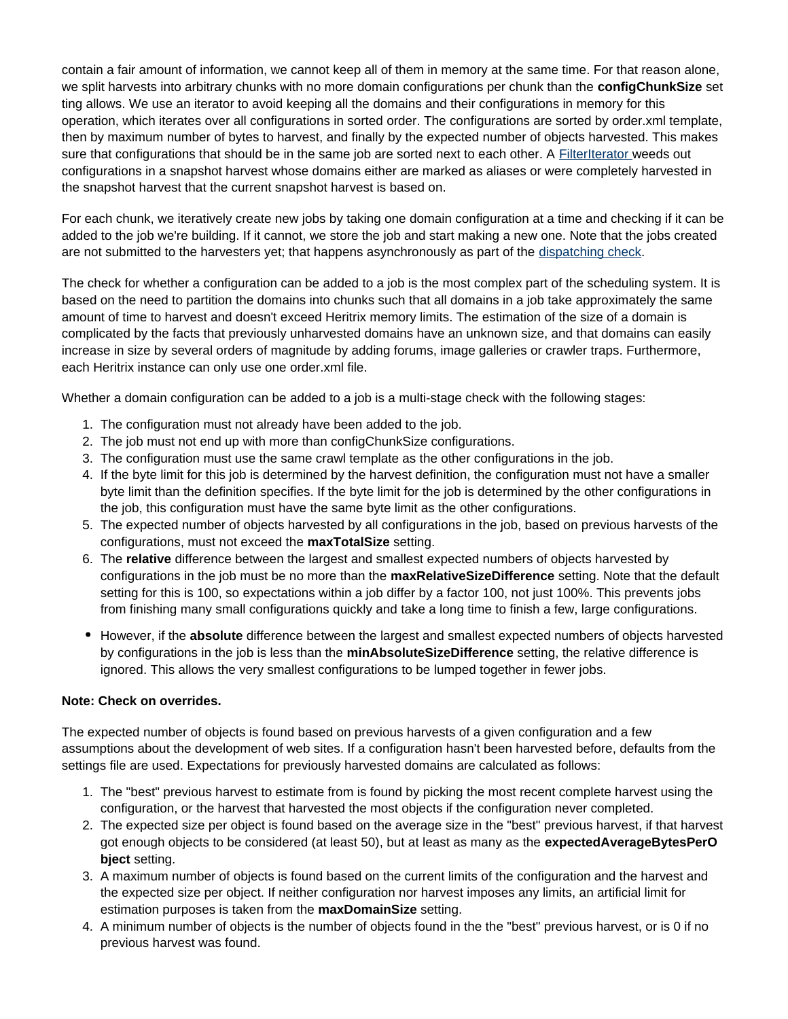contain a fair amount of information, we cannot keep all of them in memory at the same time. For that reason alone, we split harvests into arbitrary chunks with no more domain configurations per chunk than the **configChunkSize** set ting allows. We use an iterator to avoid keeping all the domains and their configurations in memory for this operation, which iterates over all configurations in sorted order. The configurations are sorted by order.xml template, then by maximum number of bytes to harvest, and finally by the expected number of objects harvested. This makes sure that configurations that should be in the same job are sorted next to each other. A [FilterIterator](https://sbforge.org/maven/netarchivesuite/apidocs/release/dk/netarkivet/common/utils/FilterIterator.html) weeds out configurations in a snapshot harvest whose domains either are marked as aliases or were completely harvested in the snapshot harvest that the current snapshot harvest is based on.

For each chunk, we iteratively create new jobs by taking one domain configuration at a time and checking if it can be added to the job we're building. If it cannot, we store the job and start making a new one. Note that the jobs created are not submitted to the harvesters yet; that happens asynchronously as part of the [dispatching check.](https://sbforge.org/maven/netarchivesuite/apidocs/release/dk/netarkivet/harvester/scheduler/JobDispatcher.html)

The check for whether a configuration can be added to a job is the most complex part of the scheduling system. It is based on the need to partition the domains into chunks such that all domains in a job take approximately the same amount of time to harvest and doesn't exceed Heritrix memory limits. The estimation of the size of a domain is complicated by the facts that previously unharvested domains have an unknown size, and that domains can easily increase in size by several orders of magnitude by adding forums, image galleries or crawler traps. Furthermore, each Heritrix instance can only use one order.xml file.

Whether a domain configuration can be added to a job is a multi-stage check with the following stages:

- 1. The configuration must not already have been added to the job.
- 2. The job must not end up with more than configChunkSize configurations.
- 3. The configuration must use the same crawl template as the other configurations in the job.
- 4. If the byte limit for this job is determined by the harvest definition, the configuration must not have a smaller byte limit than the definition specifies. If the byte limit for the job is determined by the other configurations in the job, this configuration must have the same byte limit as the other configurations.
- 5. The expected number of objects harvested by all configurations in the job, based on previous harvests of the configurations, must not exceed the **maxTotalSize** setting.
- 6. The **relative** difference between the largest and smallest expected numbers of objects harvested by configurations in the job must be no more than the **maxRelativeSizeDifference** setting. Note that the default setting for this is 100, so expectations within a job differ by a factor 100, not just 100%. This prevents jobs from finishing many small configurations quickly and take a long time to finish a few, large configurations.
- However, if the **absolute** difference between the largest and smallest expected numbers of objects harvested by configurations in the job is less than the **minAbsoluteSizeDifference** setting, the relative difference is ignored. This allows the very smallest configurations to be lumped together in fewer jobs.

#### **Note: Check on overrides.**

The expected number of objects is found based on previous harvests of a given configuration and a few assumptions about the development of web sites. If a configuration hasn't been harvested before, defaults from the settings file are used. Expectations for previously harvested domains are calculated as follows:

- 1. The "best" previous harvest to estimate from is found by picking the most recent complete harvest using the configuration, or the harvest that harvested the most objects if the configuration never completed.
- 2. The expected size per object is found based on the average size in the "best" previous harvest, if that harvest got enough objects to be considered (at least 50), but at least as many as the **expectedAverageBytesPerO bject** setting.
- 3. A maximum number of objects is found based on the current limits of the configuration and the harvest and the expected size per object. If neither configuration nor harvest imposes any limits, an artificial limit for estimation purposes is taken from the **maxDomainSize** setting.
- 4. A minimum number of objects is the number of objects found in the the "best" previous harvest, or is 0 if no previous harvest was found.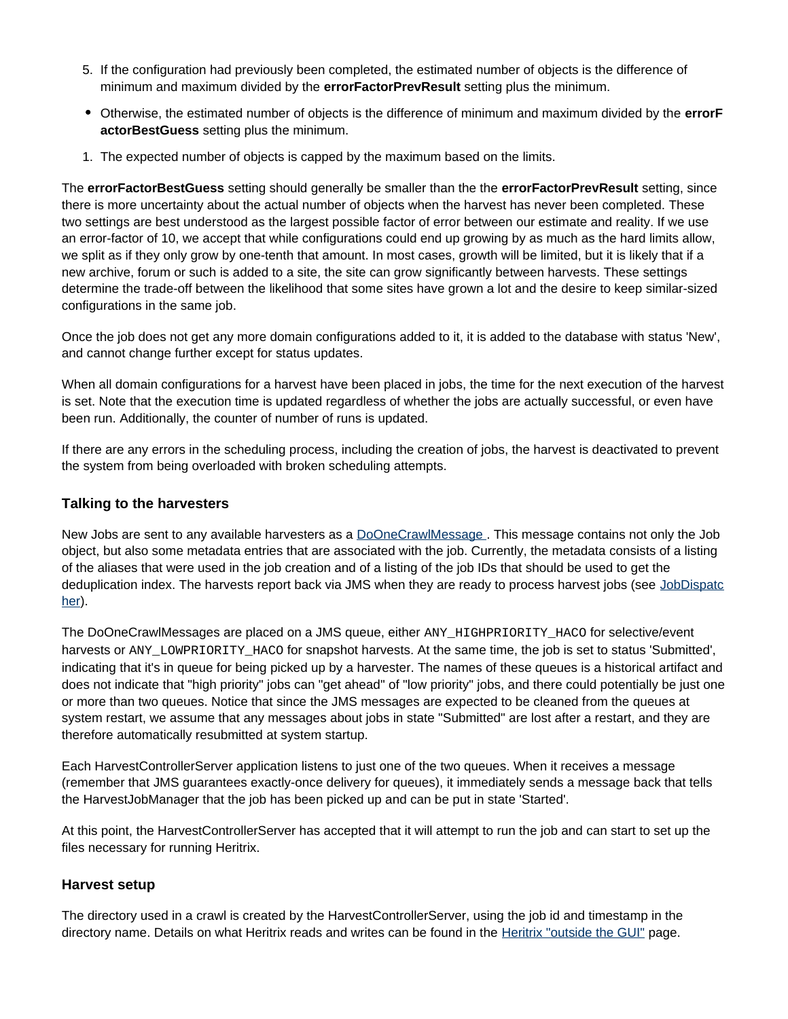- 5. If the configuration had previously been completed, the estimated number of objects is the difference of minimum and maximum divided by the **errorFactorPrevResult** setting plus the minimum.
- Otherwise, the estimated number of objects is the difference of minimum and maximum divided by the **errorF actorBestGuess** setting plus the minimum.
- 1. The expected number of objects is capped by the maximum based on the limits.

The **errorFactorBestGuess** setting should generally be smaller than the the **errorFactorPrevResult** setting, since there is more uncertainty about the actual number of objects when the harvest has never been completed. These two settings are best understood as the largest possible factor of error between our estimate and reality. If we use an error-factor of 10, we accept that while configurations could end up growing by as much as the hard limits allow, we split as if they only grow by one-tenth that amount. In most cases, growth will be limited, but it is likely that if a new archive, forum or such is added to a site, the site can grow significantly between harvests. These settings determine the trade-off between the likelihood that some sites have grown a lot and the desire to keep similar-sized configurations in the same job.

Once the job does not get any more domain configurations added to it, it is added to the database with status 'New', and cannot change further except for status updates.

When all domain configurations for a harvest have been placed in jobs, the time for the next execution of the harvest is set. Note that the execution time is updated regardless of whether the jobs are actually successful, or even have been run. Additionally, the counter of number of runs is updated.

If there are any errors in the scheduling process, including the creation of jobs, the harvest is deactivated to prevent the system from being overloaded with broken scheduling attempts.

## <span id="page-23-0"></span>**Talking to the harvesters**

New Jobs are sent to any available harvesters as a [DoOneCrawlMessage](https://sbforge.org/maven/netarchivesuite/apidocs/release/dk/netarkivet/harvester/harvesting/distribute/DoOneCrawlMessage.html) . This message contains not only the Job object, but also some metadata entries that are associated with the job. Currently, the metadata consists of a listing of the aliases that were used in the job creation and of a listing of the job IDs that should be used to get the deduplication index. The harvests report back via JMS when they are ready to process harvest jobs (see [JobDispatc](https://sbforge.org/maven/netarchivesuite/apidocs/release/dk/netarkivet/harvester/scheduler/JobDispatcher.html) [her](https://sbforge.org/maven/netarchivesuite/apidocs/release/dk/netarkivet/harvester/scheduler/JobDispatcher.html)).

The DoOneCrawlMessages are placed on a JMS queue, either ANY\_HIGHPRIORITY\_HACO for selective/event harvests or ANY\_LOWPRIORITY\_HACO for snapshot harvests. At the same time, the job is set to status 'Submitted', indicating that it's in queue for being picked up by a harvester. The names of these queues is a historical artifact and does not indicate that "high priority" jobs can "get ahead" of "low priority" jobs, and there could potentially be just one or more than two queues. Notice that since the JMS messages are expected to be cleaned from the queues at system restart, we assume that any messages about jobs in state "Submitted" are lost after a restart, and they are therefore automatically resubmitted at system startup.

Each HarvestControllerServer application listens to just one of the two queues. When it receives a message (remember that JMS guarantees exactly-once delivery for queues), it immediately sends a message back that tells the HarvestJobManager that the job has been picked up and can be put in state 'Started'.

At this point, the HarvestControllerServer has accepted that it will attempt to run the job and can start to set up the files necessary for running Heritrix.

# <span id="page-23-1"></span>**Harvest setup**

<span id="page-23-2"></span>The directory used in a crawl is created by the HarvestControllerServer, using the job id and timestamp in the directory name. Details on what Heritrix reads and writes can be found in the [Heritrix "outside the GUI"](http://crawler.archive.org/articles/user_manual/outside.html) page.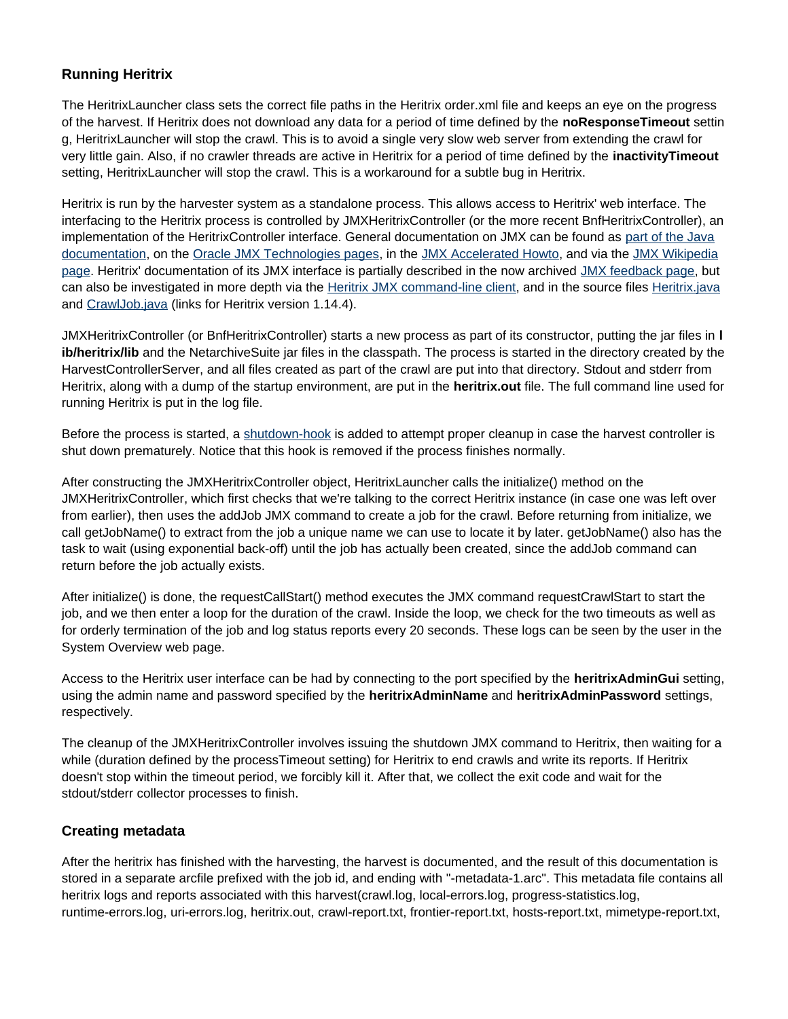# **Running Heritrix**

The HeritrixLauncher class sets the correct file paths in the Heritrix order.xml file and keeps an eye on the progress of the harvest. If Heritrix does not download any data for a period of time defined by the **noResponseTimeout** settin g, HeritrixLauncher will stop the crawl. This is to avoid a single very slow web server from extending the crawl for very little gain. Also, if no crawler threads are active in Heritrix for a period of time defined by the **inactivityTimeout** setting, HeritrixLauncher will stop the crawl. This is a workaround for a subtle bug in Heritrix.

Heritrix is run by the harvester system as a standalone process. This allows access to Heritrix' web interface. The interfacing to the Heritrix process is controlled by JMXHeritrixController (or the more recent BnfHeritrixController), an implementation of the HeritrixController interface. General documentation on JMX can be found as [part of the Java](http://download.oracle.com/javase/1.5.0/docs/api/javax/management/package-summary.html) [documentation,](http://download.oracle.com/javase/1.5.0/docs/api/javax/management/package-summary.html) on the [Oracle JMX Technologies pages,](http://www.oracle.com/technetwork/java/javase/tech/javamanagement-140525.html) in the [JMX Accelerated Howto,](http://www.admc.com/blaine/howtos/jmx/index.html) and via the [JMX Wikipedia](http://en.wikipedia.org/wiki/JMX) [page](http://en.wikipedia.org/wiki/JMX). Heritrix' documentation of its JMX interface is partially described in the now archived [JMX feedback page,](http://web.archive.org/web/20071207025254/http://crawler.archive.org/cgi-bin/wiki.pl?JmxSurvey) but can also be investigated in more depth via the [Heritrix JMX command-line client](http://crawler.archive.org/cmdline-jmxclient/), and in the source files [Heritrix.java](https://archive-crawler.svn.sourceforge.net/svnroot/archive-crawler/release-branches/heritrix-1.14.4/src/java/org/archive/crawler/Heritrix.java) and [CrawlJob.java](https://archive-crawler.svn.sourceforge.net/svnroot/archive-crawler/release-branches/heritrix-1.14.4/src/java/org/archive/crawler/admin/CrawlJob.java) (links for Heritrix version 1.14.4).

JMXHeritrixController (or BnfHeritrixController) starts a new process as part of its constructor, putting the jar files in **l ib/heritrix/lib** and the NetarchiveSuite jar files in the classpath. The process is started in the directory created by the HarvestControllerServer, and all files created as part of the crawl are put into that directory. Stdout and stderr from Heritrix, along with a dump of the startup environment, are put in the **heritrix.out** file. The full command line used for running Heritrix is put in the log file.

Before the process is started, a [shutdown-hook](http://download.oracle.com/javase/1.5.0/docs/api/java/lang/Runtime.html#addShutdownHook(java.lang.Thread)) is added to attempt proper cleanup in case the harvest controller is shut down prematurely. Notice that this hook is removed if the process finishes normally.

After constructing the JMXHeritrixController object, HeritrixLauncher calls the initialize() method on the JMXHeritrixController, which first checks that we're talking to the correct Heritrix instance (in case one was left over from earlier), then uses the addJob JMX command to create a job for the crawl. Before returning from initialize, we call getJobName() to extract from the job a unique name we can use to locate it by later. getJobName() also has the task to wait (using exponential back-off) until the job has actually been created, since the addJob command can return before the job actually exists.

After initialize() is done, the requestCallStart() method executes the JMX command requestCrawlStart to start the job, and we then enter a loop for the duration of the crawl. Inside the loop, we check for the two timeouts as well as for orderly termination of the job and log status reports every 20 seconds. These logs can be seen by the user in the System Overview web page.

Access to the Heritrix user interface can be had by connecting to the port specified by the **heritrixAdminGui** setting, using the admin name and password specified by the **heritrixAdminName** and **heritrixAdminPassword** settings, respectively.

The cleanup of the JMXHeritrixController involves issuing the shutdown JMX command to Heritrix, then waiting for a while (duration defined by the processTimeout setting) for Heritrix to end crawls and write its reports. If Heritrix doesn't stop within the timeout period, we forcibly kill it. After that, we collect the exit code and wait for the stdout/stderr collector processes to finish.

# <span id="page-24-0"></span>**Creating metadata**

After the heritrix has finished with the harvesting, the harvest is documented, and the result of this documentation is stored in a separate arcfile prefixed with the job id, and ending with "-metadata-1.arc". This metadata file contains all heritrix logs and reports associated with this harvest(crawl.log, local-errors.log, progress-statistics.log, runtime-errors.log, uri-errors.log, heritrix.out, crawl-report.txt, frontier-report.txt, hosts-report.txt, mimetype-report.txt,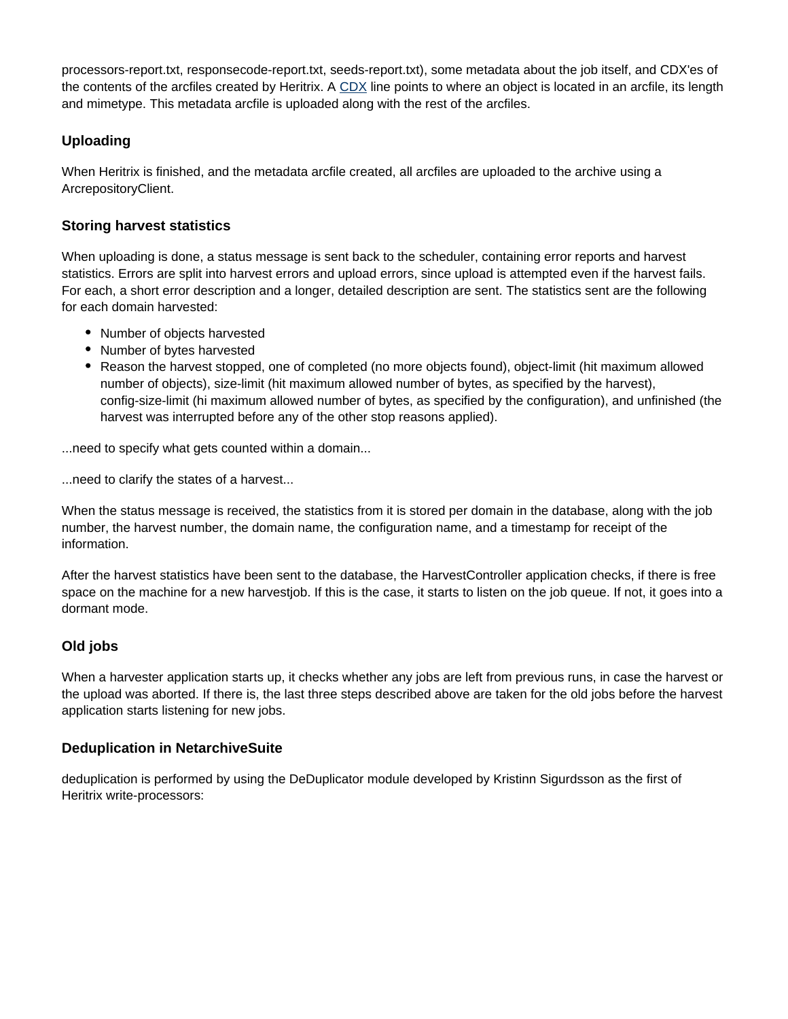processors-report.txt, responsecode-report.txt, seeds-report.txt), some metadata about the job itself, and CDX'es of the contents of the arcfiles created by Heritrix. A [CDX](http://www.archive.org/web/researcher/cdx_file_format.php) line points to where an object is located in an arcfile, its length and mimetype. This metadata arcfile is uploaded along with the rest of the arcfiles.

# <span id="page-25-0"></span>**Uploading**

When Heritrix is finished, and the metadata arcfile created, all arcfiles are uploaded to the archive using a ArcrepositoryClient.

# <span id="page-25-1"></span>**Storing harvest statistics**

When uploading is done, a status message is sent back to the scheduler, containing error reports and harvest statistics. Errors are split into harvest errors and upload errors, since upload is attempted even if the harvest fails. For each, a short error description and a longer, detailed description are sent. The statistics sent are the following for each domain harvested:

- Number of objects harvested
- Number of bytes harvested
- Reason the harvest stopped, one of completed (no more objects found), object-limit (hit maximum allowed number of objects), size-limit (hit maximum allowed number of bytes, as specified by the harvest), config-size-limit (hi maximum allowed number of bytes, as specified by the configuration), and unfinished (the harvest was interrupted before any of the other stop reasons applied).

...need to specify what gets counted within a domain...

...need to clarify the states of a harvest...

When the status message is received, the statistics from it is stored per domain in the database, along with the job number, the harvest number, the domain name, the configuration name, and a timestamp for receipt of the information.

After the harvest statistics have been sent to the database, the HarvestController application checks, if there is free space on the machine for a new harvestjob. If this is the case, it starts to listen on the job queue. If not, it goes into a dormant mode.

# <span id="page-25-2"></span>**Old jobs**

When a harvester application starts up, it checks whether any jobs are left from previous runs, in case the harvest or the upload was aborted. If there is, the last three steps described above are taken for the old jobs before the harvest application starts listening for new jobs.

# <span id="page-25-3"></span>**Deduplication in NetarchiveSuite**

deduplication is performed by using the DeDuplicator module developed by Kristinn Sigurdsson as the first of Heritrix write-processors: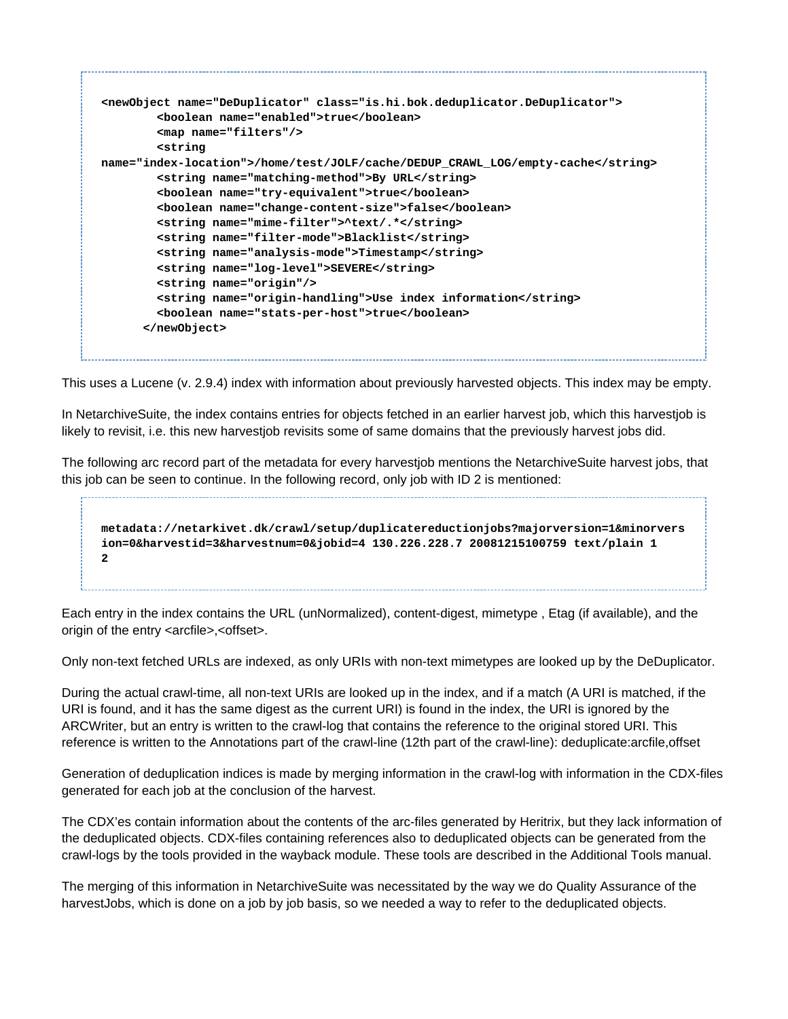```
<newObject name="DeDuplicator" class="is.hi.bok.deduplicator.DeDuplicator">
         <boolean name="enabled">true</boolean>
         <map name="filters"/>
         <string
name="index-location">/home/test/JOLF/cache/DEDUP_CRAWL_LOG/empty-cache</string>
         <string name="matching-method">By URL</string>
         <boolean name="try-equivalent">true</boolean>
         <boolean name="change-content-size">false</boolean>
         <string name="mime-filter">^text/.*</string>
         <string name="filter-mode">Blacklist</string>
         <string name="analysis-mode">Timestamp</string>
         <string name="log-level">SEVERE</string>
         <string name="origin"/>
         <string name="origin-handling">Use index information</string>
         <boolean name="stats-per-host">true</boolean>
       </newObject>
```
This uses a Lucene (v. 2.9.4) index with information about previously harvested objects. This index may be empty.

In NetarchiveSuite, the index contains entries for objects fetched in an earlier harvest job, which this harvestjob is likely to revisit, i.e. this new harvestjob revisits some of same domains that the previously harvest jobs did.

The following arc record part of the metadata for every harvestjob mentions the NetarchiveSuite harvest jobs, that this job can be seen to continue. In the following record, only job with ID 2 is mentioned:

**metadata://netarkivet.dk/crawl/setup/duplicatereductionjobs?majorversion=1&minorvers ion=0&harvestid=3&harvestnum=0&jobid=4 130.226.228.7 20081215100759 text/plain 1 2**

Each entry in the index contains the URL (unNormalized), content-digest, mimetype , Etag (if available), and the origin of the entry <arcfile>,<offset>.

Only non-text fetched URLs are indexed, as only URIs with non-text mimetypes are looked up by the DeDuplicator.

During the actual crawl-time, all non-text URIs are looked up in the index, and if a match (A URI is matched, if the URI is found, and it has the same digest as the current URI) is found in the index, the URI is ignored by the ARCWriter, but an entry is written to the crawl-log that contains the reference to the original stored URI. This reference is written to the Annotations part of the crawl-line (12th part of the crawl-line): deduplicate:arcfile,offset

Generation of deduplication indices is made by merging information in the crawl-log with information in the CDX-files generated for each job at the conclusion of the harvest.

The CDX'es contain information about the contents of the arc-files generated by Heritrix, but they lack information of the deduplicated objects. CDX-files containing references also to deduplicated objects can be generated from the crawl-logs by the tools provided in the wayback module. These tools are described in the Additional Tools manual.

The merging of this information in NetarchiveSuite was necessitated by the way we do Quality Assurance of the harvestJobs, which is done on a job by job basis, so we needed a way to refer to the deduplicated objects.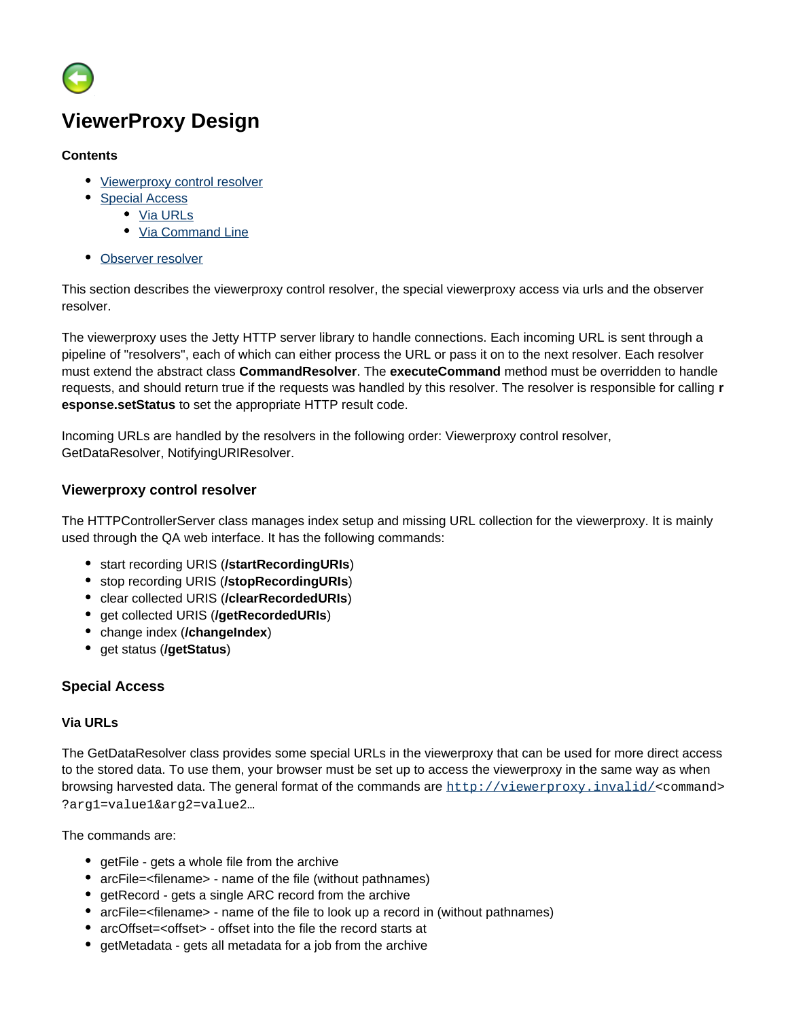

# <span id="page-27-0"></span>**ViewerProxy Design**

#### **Contents**

- [Viewerproxy control resolver](#page-27-1)
- [Special Access](#page-27-2)
	- [Via URLs](#page-27-3)
	- [Via Command Line](#page-28-0)
- [Observer resolver](#page-28-1)

This section describes the viewerproxy control resolver, the special viewerproxy access via urls and the observer resolver.

The viewerproxy uses the Jetty HTTP server library to handle connections. Each incoming URL is sent through a pipeline of "resolvers", each of which can either process the URL or pass it on to the next resolver. Each resolver must extend the abstract class **CommandResolver**. The **executeCommand** method must be overridden to handle requests, and should return true if the requests was handled by this resolver. The resolver is responsible for calling **r esponse.setStatus** to set the appropriate HTTP result code.

Incoming URLs are handled by the resolvers in the following order: Viewerproxy control resolver, GetDataResolver, NotifyingURIResolver.

## <span id="page-27-1"></span>**Viewerproxy control resolver**

The HTTPControllerServer class manages index setup and missing URL collection for the viewerproxy. It is mainly used through the QA web interface. It has the following commands:

- start recording URIS (**/startRecordingURIs**)
- stop recording URIS (**/stopRecordingURIs**)
- clear collected URIS (**/clearRecordedURIs**)
- get collected URIS (**/getRecordedURIs**)
- change index (**/changeIndex**)
- get status (**/getStatus**)

# <span id="page-27-2"></span>**Special Access**

#### <span id="page-27-3"></span>**Via URLs**

The GetDataResolver class provides some special URLs in the viewerproxy that can be used for more direct access to the stored data. To use them, your browser must be set up to access the viewerproxy in the same way as when browsing harvested data. The general format of the commands are <http://viewerproxy.invalid/><command> ?arg1=value1&arg2=value2…

The commands are:

- getFile gets a whole file from the archive
- arcFile=<filename> name of the file (without pathnames)
- getRecord gets a single ARC record from the archive
- arcFile=<filename> name of the file to look up a record in (without pathnames)
- arcOffset=<offset> offset into the file the record starts at
- getMetadata gets all metadata for a job from the archive